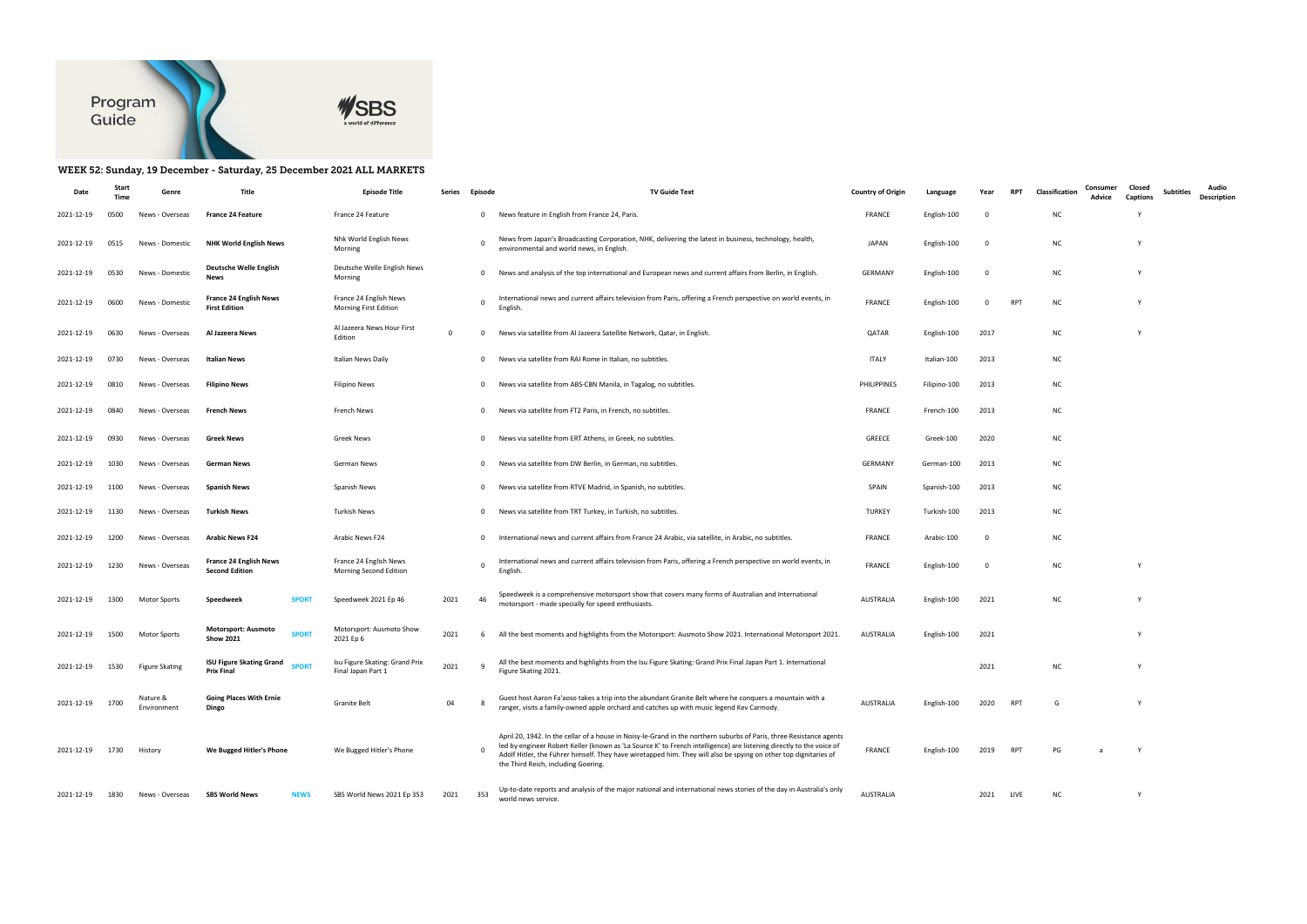

## WEEK 52: Sunday, 19 December - Saturday, 25 December 2021 ALL MARKETS

| Date       | Start<br>Time | Genre                   | Title                                                                | <b>Episode Title</b>                                 | Series      | Episode        | <b>TV Guide Text</b>                                                                                                                                                                                                                                                                                                                                                                                    | <b>Country of Origin</b> | Language     | Year      | <b>RPT</b> | Classification | Consumer<br>Advice | Closed<br><b>Captions</b> | Subtitles | Audio<br>Description |
|------------|---------------|-------------------------|----------------------------------------------------------------------|------------------------------------------------------|-------------|----------------|---------------------------------------------------------------------------------------------------------------------------------------------------------------------------------------------------------------------------------------------------------------------------------------------------------------------------------------------------------------------------------------------------------|--------------------------|--------------|-----------|------------|----------------|--------------------|---------------------------|-----------|----------------------|
| 2021-12-19 | 0500          | News - Overseas         | <b>France 24 Feature</b>                                             | France 24 Feature                                    |             | $\overline{0}$ | News feature in English from France 24, Paris.                                                                                                                                                                                                                                                                                                                                                          | <b>FRANCE</b>            | English-100  | 0         |            | <b>NC</b>      |                    |                           |           |                      |
| 2021-12-19 | 0515          | News - Domestic         | <b>NHK World English News</b>                                        | Nhk World English News<br>Morning                    |             | 0              | News from Japan's Broadcasting Corporation, NHK, delivering the latest in business, technology, health,<br>environmental and world news, in English.                                                                                                                                                                                                                                                    | <b>JAPAN</b>             | English-100  | 0         |            | NC             |                    |                           |           |                      |
| 2021-12-19 | 0530          | News - Domestic         | Deutsche Welle English<br><b>News</b>                                | Deutsche Welle English News<br>Morning               |             | 0              | News and analysis of the top international and European news and current affairs from Berlin, in English.                                                                                                                                                                                                                                                                                               | <b>GERMANY</b>           | English-100  | 0         |            | NC             |                    | Y                         |           |                      |
| 2021-12-19 | 0600          | News - Domestic         | <b>France 24 English News</b><br><b>First Edition</b>                | France 24 English News<br>Morning First Edition      |             | 0              | International news and current affairs television from Paris, offering a French perspective on world events, in<br>English                                                                                                                                                                                                                                                                              | <b>FRANCE</b>            | English-100  | 0         | RPT        | ΝC             |                    | Y                         |           |                      |
| 2021-12-19 | 0630          | News - Overseas         | Al Jazeera News                                                      | Al Jazeera News Hour First<br>Edition                | $\mathbf 0$ | 0              | News via satellite from Al Jazeera Satellite Network, Qatar, in English.                                                                                                                                                                                                                                                                                                                                | QATAR                    | English-100  | 2017      |            | NC             |                    | <b>V</b>                  |           |                      |
| 2021-12-19 | 0730          | News - Overseas         | Italian News                                                         | Italian News Daily                                   |             | 0              | News via satellite from RAI Rome in Italian, no subtitles.                                                                                                                                                                                                                                                                                                                                              | <b>ITALY</b>             | Italian-100  | 2013      |            | NC             |                    |                           |           |                      |
| 2021-12-19 | 0810          | News - Overseas         | <b>Filipino News</b>                                                 | <b>Filipino News</b>                                 |             | 0              | News via satellite from ABS-CBN Manila, in Tagalog, no subtitles.                                                                                                                                                                                                                                                                                                                                       | PHILIPPINES              | Filipino-100 | 2013      |            | <b>NC</b>      |                    |                           |           |                      |
| 2021-12-19 | 0840          | News - Overseas         | <b>French News</b>                                                   | French News                                          |             | 0              | News via satellite from FT2 Paris, in French, no subtitles.                                                                                                                                                                                                                                                                                                                                             | <b>FRANCE</b>            | French-100   | 2013      |            | NC             |                    |                           |           |                      |
| 2021-12-19 | 0930          | News - Overseas         | Greek News                                                           | <b>Greek News</b>                                    |             | $\mathbf 0$    | News via satellite from ERT Athens, in Greek, no subtitles.                                                                                                                                                                                                                                                                                                                                             | <b>GREECE</b>            | Greek-100    | 2020      |            | <b>NC</b>      |                    |                           |           |                      |
| 2021-12-19 | 1030          | News - Overseas         | German News                                                          | German News                                          |             | $^{\circ}$     | News via satellite from DW Berlin, in German, no subtitles.                                                                                                                                                                                                                                                                                                                                             | <b>GERMANY</b>           | German-100   | 2013      |            | <b>NC</b>      |                    |                           |           |                      |
| 2021-12-19 | 1100          | News - Overseas         | <b>Spanish News</b>                                                  | Spanish News                                         |             | 0              | News via satellite from RTVE Madrid, in Spanish, no subtitles.                                                                                                                                                                                                                                                                                                                                          | SPAIN                    | Spanish-100  | 2013      |            | NC             |                    |                           |           |                      |
| 2021-12-19 | 1130          | News - Overseas         | Turkish News                                                         | <b>Turkish News</b>                                  |             | 0              | News via satellite from TRT Turkey, in Turkish, no subtitles.                                                                                                                                                                                                                                                                                                                                           | <b>TURKEY</b>            | Turkish-100  | 2013      |            | <b>NC</b>      |                    |                           |           |                      |
| 2021-12-19 | 1200          | News - Overseas         | <b>Arabic News F24</b>                                               | Arabic News F24                                      |             | 0              | International news and current affairs from France 24 Arabic, via satellite, in Arabic, no subtitles.                                                                                                                                                                                                                                                                                                   | <b>FRANCE</b>            | Arabic-100   | 0         |            | <b>NC</b>      |                    |                           |           |                      |
| 2021-12-19 | 1230          | News - Overseas         | <b>France 24 English News</b><br><b>Second Edition</b>               | France 24 English News<br>Morning Second Edition     |             | $\mathbf 0$    | International news and current affairs television from Paris, offering a French perspective on world events, in<br>English.                                                                                                                                                                                                                                                                             | <b>FRANCE</b>            | English-100  | 0         |            | <b>NC</b>      |                    |                           |           |                      |
| 2021-12-19 | 1300          | Motor Sports            | Speedweek<br><b>SPORT</b>                                            | Speedweek 2021 Ep 46                                 | 2021        | 46             | Speedweek is a comprehensive motorsport show that covers many forms of Australian and International<br>motorsport - made specially for speed enthusiasts.                                                                                                                                                                                                                                               | AUSTRALIA                | English-100  | 2021      |            | NC             |                    | Y                         |           |                      |
| 2021-12-19 | 1500          | <b>Motor Sports</b>     | <b>Motorsport: Ausmoto</b><br><b>SPORT</b><br><b>Show 2021</b>       | Motorsport: Ausmoto Show<br>2021 Ep 6                | 2021        | 6              | All the best moments and highlights from the Motorsport: Ausmoto Show 2021. International Motorsport 2021.                                                                                                                                                                                                                                                                                              | AUSTRALIA                | English-100  | 2021      |            |                |                    | Y                         |           |                      |
| 2021-12-19 | 1530          | <b>Figure Skating</b>   | <b>ISU Figure Skating Grand</b><br><b>SPORT</b><br><b>Prix Final</b> | Isu Figure Skating: Grand Prix<br>Final Japan Part 1 | 2021        | -9             | All the best moments and highlights from the Isu Figure Skating: Grand Prix Final Japan Part 1. International<br>Figure Skating 2021.                                                                                                                                                                                                                                                                   |                          |              | 2021      |            | <b>NC</b>      |                    | Y                         |           |                      |
| 2021-12-19 | 1700          | Nature &<br>Environment | <b>Going Places With Ernie</b><br>Dingo                              | Granite Belt                                         | 04          |                | Guest host Aaron Fa'aoso takes a trip into the abundant Granite Belt where he conquers a mountain with a<br>ranger, visits a family-owned apple orchard and catches up with music legend Kev Carmody.                                                                                                                                                                                                   | <b>AUSTRALIA</b>         | English-100  | 2020      | <b>RPT</b> | G              |                    | Y                         |           |                      |
| 2021-12-19 | 1730          | History                 | We Bugged Hitler's Phone                                             | We Bugged Hitler's Phone                             |             |                | April 20, 1942. In the cellar of a house in Noisy-le-Grand in the northern suburbs of Paris, three Resistance agents<br>led by engineer Robert Keller (known as 'La Source K' to French intelligence) are listening directly to the voice of<br>Adolf Hitler, the Führer himself. They have wiretapped him. They will also be spying on other top dignitaries of<br>the Third Reich, including Goering. | FRANCE                   | English-100  | 2019      | <b>RPT</b> | PG             |                    | Y                         |           |                      |
| 2021-12-19 | 1830          | News - Overseas         | <b>SBS World News</b><br><b>NEWS</b>                                 | SBS World News 2021 Ep 353                           | 2021        | 353            | Up-to-date reports and analysis of the major national and international news stories of the day in Australia's only<br>world news service.                                                                                                                                                                                                                                                              | AUSTRALIA                |              | 2021 LIVE |            | NC             |                    | Y                         |           |                      |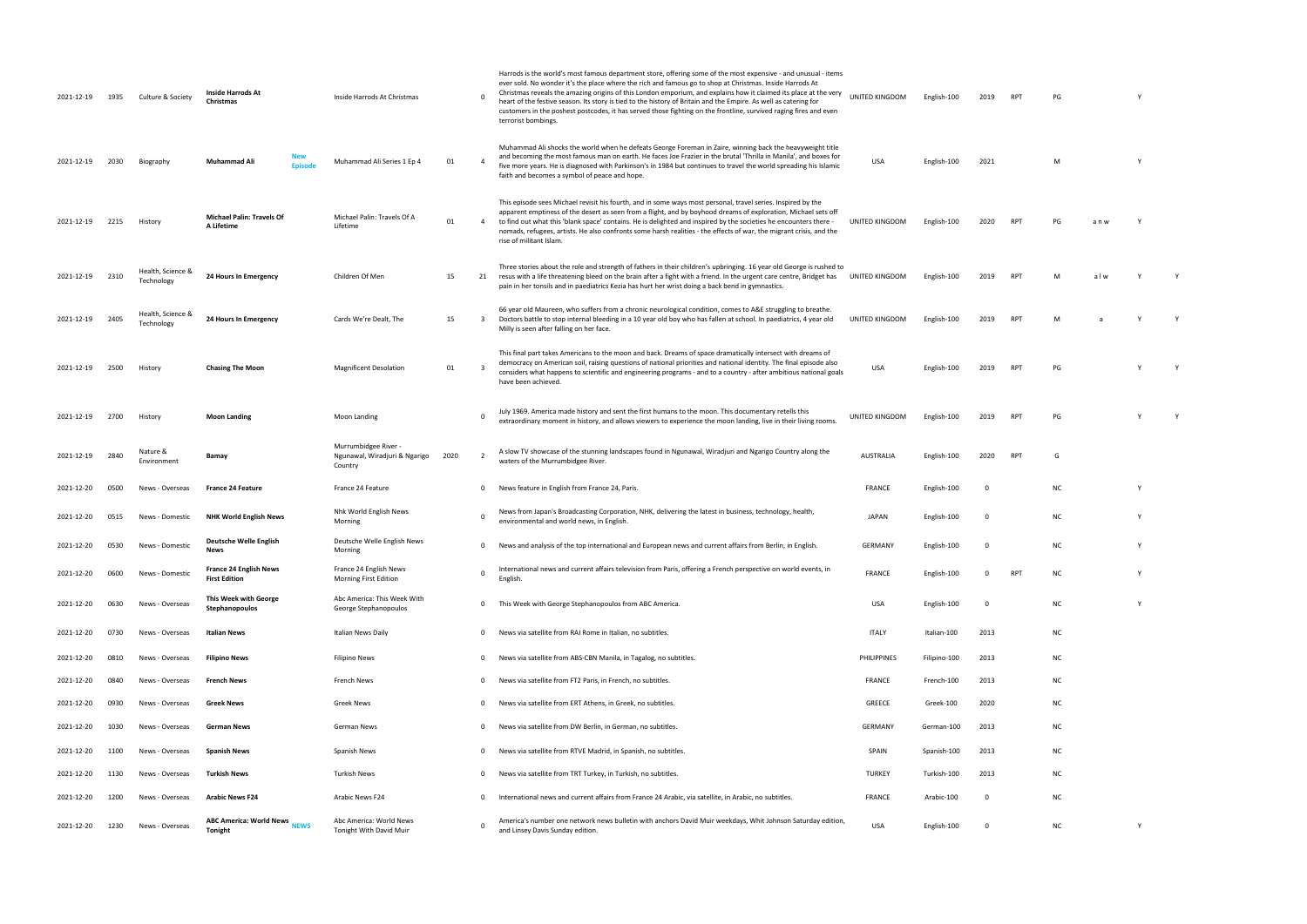| 2021-12-19 | 1935 | Culture & Society               | Inside Harrods At<br>Christmas                           | Inside Harrods At Christmas                                    |      | - 0         | Harrods is the world's most famous department store, offering some of the most expensive - and unusual - items<br>ever sold. No wonder it's the place where the rich and famous go to shop at Christmas. Inside Harrods At<br>Christmas reveals the amazing origins of this London emporium, and explains how it claimed its place at the very<br>heart of the festive season. Its story is tied to the history of Britain and the Empire. As well as catering for<br>customers in the poshest postcodes, it has served those fighting on the frontline, survived raging fires and even<br>terrorist bombings. | UNITED KINGDOM   | English-100  | 2019        | <b>RPT</b> | PG |     |   |  |
|------------|------|---------------------------------|----------------------------------------------------------|----------------------------------------------------------------|------|-------------|----------------------------------------------------------------------------------------------------------------------------------------------------------------------------------------------------------------------------------------------------------------------------------------------------------------------------------------------------------------------------------------------------------------------------------------------------------------------------------------------------------------------------------------------------------------------------------------------------------------|------------------|--------------|-------------|------------|----|-----|---|--|
| 2021-12-19 | 2030 | Biography                       | Muhammad Ali<br>Episode                                  | Muhammad Ali Series 1 Ep 4                                     | 01   |             | Muhammad Ali shocks the world when he defeats George Foreman in Zaire, winning back the heavyweight title<br>and becoming the most famous man on earth. He faces Joe Frazier in the brutal 'Thrilla in Manila', and boxes for<br>five more years. He is diagnosed with Parkinson's in 1984 but continues to travel the world spreading his Islamic<br>faith and becomes a symbol of peace and hope.                                                                                                                                                                                                            | USA              | English-100  | 2021        |            | M  |     |   |  |
| 2021-12-19 | 2215 | History                         | <b>Michael Palin: Travels Of</b><br>A Lifetime           | Michael Palin: Travels Of A<br>Lifetime                        | 01   |             | This episode sees Michael revisit his fourth, and in some ways most personal, travel series. Inspired by the<br>apparent emptiness of the desert as seen from a flight, and by boyhood dreams of exploration, Michael sets off<br>4 to find out what this 'blank space' contains. He is delighted and inspired by the societies he encounters there -<br>nomads, refugees, artists. He also confronts some harsh realities - the effects of war, the migrant crisis, and the<br>rise of militant Islam.                                                                                                        | UNITED KINGDOM   | English-100  | 2020        | <b>RPT</b> | PG | anw |   |  |
| 2021-12-19 | 2310 | Health, Science &<br>Technology | 24 Hours In Emergency                                    | Children Of Men                                                | 15   | 21          | Three stories about the role and strength of fathers in their children's upbringing. 16 year old George is rushed to<br>resus with a life threatening bleed on the brain after a fight with a friend. In the urgent care centre, Bridget has<br>pain in her tonsils and in paediatrics Kezia has hurt her wrist doing a back bend in gymnastics.                                                                                                                                                                                                                                                               | UNITED KINGDOM   | English-100  | 2019        | <b>RPT</b> | M  | alw |   |  |
| 2021-12-19 | 2405 | Health, Science &<br>Technology | 24 Hours In Emergency                                    | Cards We're Dealt. The                                         | 15   | 3           | 66 year old Maureen, who suffers from a chronic neurological condition, comes to A&E struggling to breathe.<br>Doctors battle to stop internal bleeding in a 10 year old boy who has fallen at school. In paediatrics, 4 year old<br>Milly is seen after falling on her face.                                                                                                                                                                                                                                                                                                                                  | UNITED KINGDOM   | English-100  | 2019        | <b>RPT</b> | M  |     |   |  |
| 2021-12-19 | 2500 | History                         | <b>Chasing The Moon</b>                                  | <b>Magnificent Desolation</b>                                  | 01   |             | This final part takes Americans to the moon and back. Dreams of space dramatically intersect with dreams of<br>democracy on American soil, raising questions of national priorities and national identity. The final episode also<br>considers what happens to scientific and engineering programs - and to a country - after ambitious national goals<br>have been achieved.                                                                                                                                                                                                                                  | USA              | English-100  | 2019        | <b>RPT</b> | PG |     |   |  |
| 2021-12-19 | 2700 | History                         | <b>Moon Landing</b>                                      | Moon Landing                                                   |      | - 0         | July 1969. America made history and sent the first humans to the moon. This documentary retells this<br>extraordinary moment in history, and allows viewers to experience the moon landing, live in their living rooms.                                                                                                                                                                                                                                                                                                                                                                                        | UNITED KINGDOM   | English-100  | 2019        | RPT        | PG |     |   |  |
| 2021-12-19 | 2840 | Nature &<br>Environment         | Bamay                                                    | Murrumbidgee River<br>Ngunawal, Wiradjuri & Ngarigo<br>Country | 2020 | 2           | A slow TV showcase of the stunning landscapes found in Ngunawal, Wiradjuri and Ngarigo Country along the<br>waters of the Murrumbidgee River.                                                                                                                                                                                                                                                                                                                                                                                                                                                                  | <b>AUSTRALIA</b> | English-100  | 2020        | <b>RPT</b> | G  |     |   |  |
| 2021-12-20 | 0500 | News - Overseas                 | <b>France 24 Feature</b>                                 | France 24 Feature                                              |      | $\mathbf 0$ | News feature in English from France 24, Paris.                                                                                                                                                                                                                                                                                                                                                                                                                                                                                                                                                                 | <b>FRANCE</b>    | English-100  | 0           |            | NC |     |   |  |
| 2021-12-20 | 0515 | News - Domestic                 | <b>NHK World English News</b>                            | Nhk World English News<br>Morning                              |      | - 0         | News from Japan's Broadcasting Corporation, NHK, delivering the latest in business, technology, health,<br>environmental and world news, in English.                                                                                                                                                                                                                                                                                                                                                                                                                                                           | <b>JAPAN</b>     | English-100  | $\mathbf 0$ |            | ΝC |     |   |  |
| 2021-12-20 | 0530 | News - Domestic                 | <b>Deutsche Welle English</b><br><b>News</b>             | Deutsche Welle English News<br>Morning                         |      | $\mathbf 0$ | News and analysis of the top international and European news and current affairs from Berlin, in English.                                                                                                                                                                                                                                                                                                                                                                                                                                                                                                      | <b>GERMANY</b>   | English-100  | 0           |            | ΝC |     | Y |  |
| 2021-12-20 | 0600 | News - Domestic                 | <b>France 24 English News</b><br><b>First Edition</b>    | France 24 English News<br>Morning First Edition                |      | - 0         | International news and current affairs television from Paris, offering a French perspective on world events, in<br>English.                                                                                                                                                                                                                                                                                                                                                                                                                                                                                    | <b>FRANCE</b>    | English-100  | $\Omega$    | <b>RPT</b> | NC |     |   |  |
| 2021-12-20 | 0630 | News - Overseas                 | This Week with George<br>Stephanopoulos                  | Abc America: This Week With<br>George Stephanopoulos           |      | $\Omega$    | This Week with George Stephanopoulos from ABC America.                                                                                                                                                                                                                                                                                                                                                                                                                                                                                                                                                         | USA              | English-100  | 0           |            | NC |     | Y |  |
| 2021-12-20 | 0730 | News - Overseas                 | Italian News                                             | Italian News Daily                                             |      | $\mathbf 0$ | News via satellite from RAI Rome in Italian, no subtitles.                                                                                                                                                                                                                                                                                                                                                                                                                                                                                                                                                     | <b>ITALY</b>     | Italian-100  | 2013        |            | ΝC |     |   |  |
| 2021-12-20 | 0810 | News - Overseas                 | <b>Filipino News</b>                                     | <b>Filipino News</b>                                           |      | $\mathbf 0$ | News via satellite from ABS-CBN Manila, in Tagalog, no subtitles.                                                                                                                                                                                                                                                                                                                                                                                                                                                                                                                                              | PHILIPPINES      | Filipino-100 | 2013        |            | ΝC |     |   |  |
| 2021-12-20 | 0840 | News - Overseas                 | <b>French News</b>                                       | French News                                                    |      | $\mathbf 0$ | News via satellite from FT2 Paris, in French, no subtitles.                                                                                                                                                                                                                                                                                                                                                                                                                                                                                                                                                    | <b>FRANCE</b>    | French-100   | 2013        |            | ΝC |     |   |  |
| 2021-12-20 | 0930 | News - Overseas                 | Greek News                                               | Greek News                                                     |      | $\Omega$    | News via satellite from ERT Athens, in Greek, no subtitles.                                                                                                                                                                                                                                                                                                                                                                                                                                                                                                                                                    | GREECE           | Greek-100    | 2020        |            | ΝC |     |   |  |
| 2021-12-20 | 1030 | News - Overseas                 | <b>German News</b>                                       | German News                                                    |      | $\mathbf 0$ | News via satellite from DW Berlin, in German, no subtitles.                                                                                                                                                                                                                                                                                                                                                                                                                                                                                                                                                    | <b>GERMANY</b>   | German-100   | 2013        |            | NC |     |   |  |
| 2021-12-20 | 1100 | News - Overseas                 | <b>Spanish News</b>                                      | Spanish News                                                   |      | $\mathbf 0$ | News via satellite from RTVE Madrid, in Spanish, no subtitles.                                                                                                                                                                                                                                                                                                                                                                                                                                                                                                                                                 | SPAIN            | Spanish-100  | 2013        |            | ΝC |     |   |  |
| 2021-12-20 | 1130 | News - Overseas                 | Turkish News                                             | Turkish News                                                   |      | $\mathbf 0$ | News via satellite from TRT Turkey, in Turkish, no subtitles.                                                                                                                                                                                                                                                                                                                                                                                                                                                                                                                                                  | <b>TURKEY</b>    | Turkish-100  | 2013        |            | ΝC |     |   |  |
| 2021-12-20 | 1200 | News - Overseas                 | <b>Arabic News F24</b>                                   | Arabic News F24                                                |      | $\Omega$    | International news and current affairs from France 24 Arabic, via satellite, in Arabic, no subtitles.                                                                                                                                                                                                                                                                                                                                                                                                                                                                                                          | <b>FRANCE</b>    | Arabic-100   | 0           |            | NC |     |   |  |
| 2021-12-20 | 1230 | News - Overseas                 | <b>ABC America: World News</b><br><b>NEWS</b><br>Tonight | Abc America: World News<br>Tonight With David Muir             |      | - 0         | America's number one network news bulletin with anchors David Muir weekdays, Whit Johnson Saturday edition,<br>and Linsey Davis Sunday edition.                                                                                                                                                                                                                                                                                                                                                                                                                                                                | <b>USA</b>       | English-100  | 0           |            | NC |     | Y |  |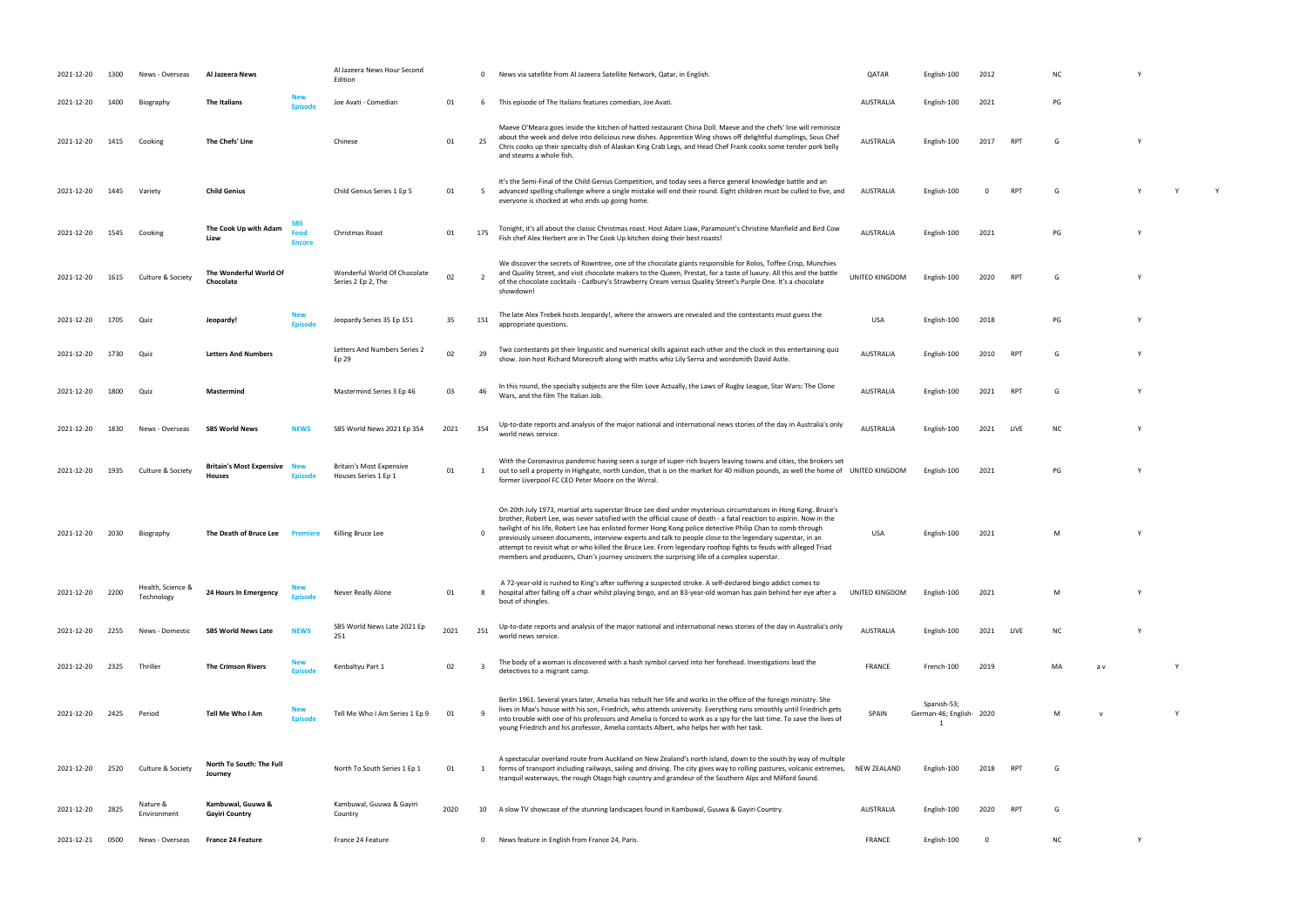| 2021-12-20 | 1300 | News - Overseas                 | Al Jazeera News                                      |                              | Al Jazeera News Hour Second<br>Edition                  |      | $\mathbf{0}$ | News via satellite from Al Jazeera Satellite Network, Qatar, in English                                                                                                                                                                                                                                                                                                                                                                                                                                                                                                                                                                                                          | QATAR            | English-100                            | 2012 |            |     |     |   |  |
|------------|------|---------------------------------|------------------------------------------------------|------------------------------|---------------------------------------------------------|------|--------------|----------------------------------------------------------------------------------------------------------------------------------------------------------------------------------------------------------------------------------------------------------------------------------------------------------------------------------------------------------------------------------------------------------------------------------------------------------------------------------------------------------------------------------------------------------------------------------------------------------------------------------------------------------------------------------|------------------|----------------------------------------|------|------------|-----|-----|---|--|
| 2021-12-20 | 1400 | Biography                       | <b>The Italians</b>                                  |                              | Joe Avati - Comedian                                    | 01   | 6            | This episode of The Italians features comedian, Joe Avati.                                                                                                                                                                                                                                                                                                                                                                                                                                                                                                                                                                                                                       | AUSTRALIA        | English-100                            | 2021 |            | PG  |     |   |  |
| 2021-12-20 | 1415 | Cooking                         | The Chefs' Line                                      |                              | Chinese                                                 | 01   | 25           | Maeve O'Meara goes inside the kitchen of hatted restaurant China Doll. Maeve and the chefs' line will reminisce<br>about the week and delve into delicious new dishes. Apprentice Wing shows off delightful dumplings, Sous Chef<br>Chris cooks up their specialty dish of Alaskan King Crab Legs, and Head Chef Frank cooks some tender pork belly<br>and steams a whole fish.                                                                                                                                                                                                                                                                                                  | AUSTRALIA        | English-100                            | 2017 | <b>RPT</b> | G   |     |   |  |
| 2021-12-20 | 1445 | Variety                         | <b>Child Genius</b>                                  |                              | Child Genius Series 1 Ep 5                              | 01   | 5            | It's the Semi-Final of the Child Genius Competition, and today sees a fierce general knowledge battle and an<br>advanced spelling challenge where a single mistake will end their round. Eight children must be culled to five, and<br>everyone is shocked at who ends up going home.                                                                                                                                                                                                                                                                                                                                                                                            | AUSTRALIA        | English-100                            |      | <b>RPT</b> | G   |     |   |  |
| 2021-12-20 | 1545 | Cooking                         | The Cook Up with Adam<br>Liaw                        | SBS<br>Food<br><b>Encore</b> | Christmas Roast                                         | 01   | 175          | Tonight, it's all about the classic Christmas roast. Host Adam Liaw, Paramount's Christine Manfield and Bird Cow<br>Fish chef Alex Herbert are in The Cook Up kitchen doing their best roasts!                                                                                                                                                                                                                                                                                                                                                                                                                                                                                   | AUSTRALIA        | English-100                            | 2021 |            | PG  |     |   |  |
| 2021-12-20 | 1615 | Culture & Society               | The Wonderful World Of<br>Chocolate                  |                              | Wonderful World Of Chocolate<br>Series 2 Ep 2, The      | 02   |              | We discover the secrets of Rowntree, one of the chocolate giants responsible for Rolos, Toffee Crisp, Munchies<br>and Quality Street, and visit chocolate makers to the Queen, Prestat, for a taste of luxury. All this and the battle<br>of the chocolate cocktails - Cadbury's Strawberry Cream versus Quality Street's Purple One. It's a chocolate<br>showdown!                                                                                                                                                                                                                                                                                                              | UNITED KINGDOM   | English-100                            | 2020 | <b>RPT</b> | G   |     |   |  |
| 2021-12-20 | 1705 | Quiz                            | Jeopardy!                                            |                              | Jeopardy Series 35 Ep 151                               | 35   | 151          | The late Alex Trebek hosts Jeopardy!, where the answers are revealed and the contestants must guess the<br>appropriate questions.                                                                                                                                                                                                                                                                                                                                                                                                                                                                                                                                                | <b>USA</b>       | English-100                            | 2018 |            | PG  |     |   |  |
| 2021-12-20 | 1730 | Quiz                            | <b>Letters And Numbers</b>                           |                              | Letters And Numbers Series 2<br>Ep 29                   | 02   | 29           | Two contestants pit their linguistic and numerical skills against each other and the clock in this entertaining quiz<br>show. Join host Richard Morecroft along with maths whiz Lily Serna and wordsmith David Astle.                                                                                                                                                                                                                                                                                                                                                                                                                                                            | AUSTRALIA        | English-100                            | 2010 | <b>RPT</b> | G   |     |   |  |
| 2021-12-20 | 1800 | Quiz                            | Mastermind                                           |                              | Mastermind Series 3 Ep 46                               | 03   | 46           | In this round, the specialty subjects are the film Love Actually, the Laws of Rugby League, Star Wars: The Clone<br>Wars, and the film The Italian Job.                                                                                                                                                                                                                                                                                                                                                                                                                                                                                                                          | AUSTRALIA        | English-100                            | 2021 | <b>RPT</b> |     |     |   |  |
| 2021-12-20 | 1830 | News - Overseas                 | <b>SBS World News</b>                                | <b>NEWS</b>                  | SBS World News 2021 Ep 354                              | 2021 | 354          | Up-to-date reports and analysis of the major national and international news stories of the day in Australia's only<br>world news service.                                                                                                                                                                                                                                                                                                                                                                                                                                                                                                                                       | <b>AUSTRALIA</b> | English-100                            | 2021 | LIVE       | NC  |     |   |  |
| 2021-12-20 | 1935 | Culture & Society               | <b>Britain's Most Expensive New</b><br><b>Houses</b> | Episode                      | <b>Britain's Most Expensive</b><br>Houses Series 1 Ep 1 | 01   | 1            | With the Coronavirus pandemic having seen a surge of super-rich buyers leaving towns and cities, the brokers set<br>out to sell a property in Highgate, north London, that is on the market for 40 million pounds, as well the home of UNITED KINGDOM<br>former Liverpool FC CEO Peter Moore on the Wirral.                                                                                                                                                                                                                                                                                                                                                                      |                  | English-100                            | 2021 |            | PG  |     |   |  |
| 2021-12-20 | 2030 | Biography                       | The Death of Bruce Lee                               |                              | Killing Bruce Lee                                       |      | $\mathbf 0$  | On 20th July 1973, martial arts superstar Bruce Lee died under mysterious circumstances in Hong Kong. Bruce's<br>brother, Robert Lee, was never satisfied with the official cause of death - a fatal reaction to aspirin. Now in the<br>twilight of his life, Robert Lee has enlisted former Hong Kong police detective Philip Chan to comb through<br>previously unseen documents, interview experts and talk to people close to the legendary superstar, in an<br>attempt to revisit what or who killed the Bruce Lee. From legendary rooftop fights to feuds with alleged Triad<br>members and producers, Chan's journey uncovers the surprising life of a complex superstar. | USA              | English-100                            | 2021 |            | M   |     | Y |  |
| 2021-12-20 | 2200 | Health, Science &<br>Technology | 24 Hours In Emergency                                |                              | Never Really Alone                                      | 01   | 8            | A 72-year-old is rushed to King's after suffering a suspected stroke. A self-declared bingo addict comes to<br>hospital after falling off a chair whilst playing bingo, and an 83-year-old woman has pain behind her eye after a<br>bout of shingles.                                                                                                                                                                                                                                                                                                                                                                                                                            | UNITED KINGDOM   | English-100                            | 2021 |            | M   |     |   |  |
| 2021-12-20 | 2255 | News - Domestic                 | <b>SBS World News Late</b>                           | <b>NEWS</b>                  | SBS World News Late 2021 Ep<br>251                      | 2021 | 251          | Up-to-date reports and analysis of the major national and international news stories of the day in Australia's only<br>world news service.                                                                                                                                                                                                                                                                                                                                                                                                                                                                                                                                       | AUSTRALIA        | English-100                            | 2021 | LIVE       | ΝC  |     |   |  |
| 2021-12-20 | 2325 | Thriller                        | <b>The Crimson Rivers</b>                            |                              | Kenbaltyu Part 1                                        | 02   |              | The body of a woman is discovered with a hash symbol carved into her forehead. Investigations lead the<br>detectives to a migrant camp.                                                                                                                                                                                                                                                                                                                                                                                                                                                                                                                                          | <b>FRANCE</b>    | French-100                             | 2019 |            | MA. | a v |   |  |
| 2021-12-20 | 2425 | Period                          | Tell Me Who I Am                                     | <b>Episode</b>               | Tell Me Who I Am Series 1 Ep 9                          | 01   | -9           | Berlin 1961. Several years later, Amelia has rebuilt her life and works in the office of the foreign ministry. She<br>lives in Max's house with his son, Friedrich, who attends university. Everything runs smoothly until Friedrich gets<br>into trouble with one of his professors and Amelia is forced to work as a spy for the last time. To save the lives of<br>young Friedrich and his professor, Amelia contacts Albert, who helps her with her task.                                                                                                                                                                                                                    | SPAIN            | Spanish-53;<br>German-46; English 2020 |      |            | M   |     |   |  |
| 2021-12-20 | 2520 | Culture & Society               | North To South: The Full<br>Journey                  |                              | North To South Series 1 Ep 1                            | 01   | 1            | A spectacular overland route from Auckland on New Zealand's north island, down to the south by way of multiple<br>forms of transport including railways, sailing and driving. The city gives way to rolling pastures, volcanic extremes,<br>tranguil waterways, the rough Otago high country and grandeur of the Southern Alps and Milford Sound.                                                                                                                                                                                                                                                                                                                                | NEW ZEALAND      | English-100                            | 2018 | <b>RPT</b> | G   |     |   |  |
| 2021-12-20 | 2825 | Nature &<br>Environment         | Kambuwal, Guuwa &<br><b>Gayiri Country</b>           |                              | Kambuwal, Guuwa & Gayiri<br>Country                     | 2020 |              | 10 A slow TV showcase of the stunning landscapes found in Kambuwal, Guuwa & Gayiri Country.                                                                                                                                                                                                                                                                                                                                                                                                                                                                                                                                                                                      | AUSTRALIA        | English-100                            | 2020 | <b>RPT</b> | G   |     |   |  |
| 2021-12-21 | 0500 | News - Overseas                 | <b>France 24 Feature</b>                             |                              | France 24 Feature                                       |      |              | 0 News feature in English from France 24, Paris.                                                                                                                                                                                                                                                                                                                                                                                                                                                                                                                                                                                                                                 | FRANCE           | English-100                            | - 0  |            | NC. |     | Y |  |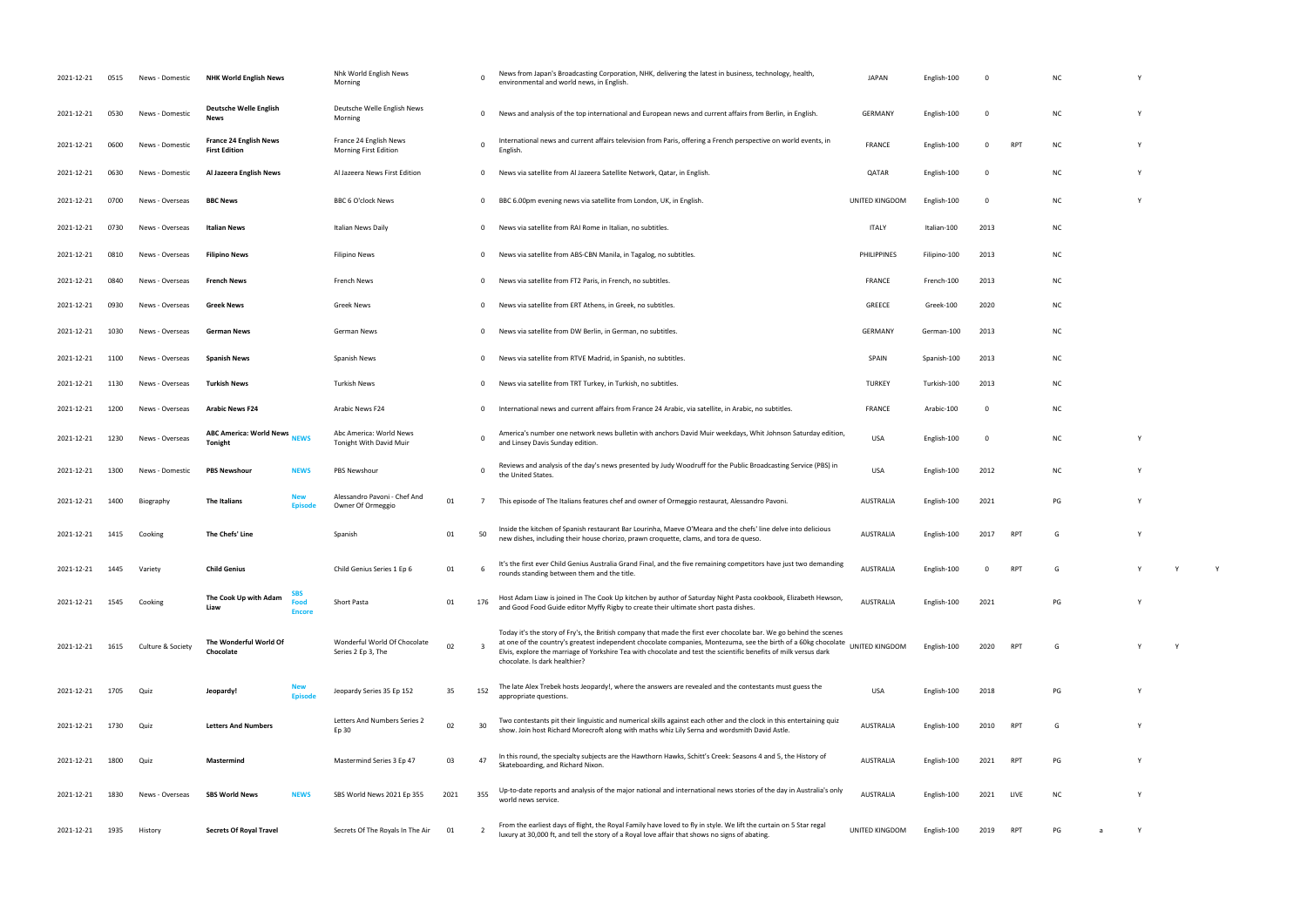| 2021-12-21 | 0515 | News - Domestic   | <b>NHK World English News</b>                         |                              | Nhk World English News<br>Morning                  |      |                | News from Japan's Broadcasting Corporation, NHK, delivering the latest in business, technology, health,<br>environmental and world news, in English.                                                                                                                                                                                                                                      | JAPAN            | English-100  |      |      |           |              |  |
|------------|------|-------------------|-------------------------------------------------------|------------------------------|----------------------------------------------------|------|----------------|-------------------------------------------------------------------------------------------------------------------------------------------------------------------------------------------------------------------------------------------------------------------------------------------------------------------------------------------------------------------------------------------|------------------|--------------|------|------|-----------|--------------|--|
| 2021-12-21 | 0530 | News - Domestic   | Deutsche Welle English<br><b>News</b>                 |                              | Deutsche Welle English News<br>Morning             |      | $\mathbf 0$    | News and analysis of the top international and European news and current affairs from Berlin, in English.                                                                                                                                                                                                                                                                                 | <b>GERMANY</b>   | English-100  | 0    |      | ΝC        |              |  |
| 2021-12-21 | 0600 | News - Domestic   | <b>France 24 English News</b><br><b>First Edition</b> |                              | France 24 English News<br>Morning First Edition    |      | $\Omega$       | International news and current affairs television from Paris, offering a French perspective on world events, in<br>English.                                                                                                                                                                                                                                                               | <b>FRANCE</b>    | English-100  | 0    | RPT  | ΝC        | $\mathbf{v}$ |  |
| 2021-12-21 | 0630 | News - Domestic   | Al Jazeera English News                               |                              | Al Jazeera News First Edition                      |      | 0              | News via satellite from Al Jazeera Satellite Network, Qatar, in English.                                                                                                                                                                                                                                                                                                                  | QATAR            | English-100  |      |      | ΝC        | <b>Y</b>     |  |
| 2021-12-21 | 0700 | News - Overseas   | <b>BBC News</b>                                       |                              | <b>BBC 6 O'clock News</b>                          |      | 0              | BBC 6.00pm evening news via satellite from London, UK, in English.                                                                                                                                                                                                                                                                                                                        | UNITED KINGDOM   | English-100  | 0    |      | ΝC        | <b>Y</b>     |  |
| 2021-12-21 | 0730 | News - Overseas   | Italian News                                          |                              | Italian News Daily                                 |      | 0              | News via satellite from RAI Rome in Italian, no subtitles.                                                                                                                                                                                                                                                                                                                                | ITALY            | Italian-100  | 2013 |      | NC        |              |  |
| 2021-12-21 | 0810 | News - Overseas   | <b>Filipino News</b>                                  |                              | <b>Filipino News</b>                               |      | 0              | News via satellite from ABS-CBN Manila, in Tagalog, no subtitles.                                                                                                                                                                                                                                                                                                                         | PHILIPPINES      | Filipino-100 | 2013 |      | ΝC        |              |  |
| 2021-12-21 | 0840 | News - Overseas   | <b>French News</b>                                    |                              | French News                                        |      | $\Omega$       | News via satellite from FT2 Paris, in French, no subtitles.                                                                                                                                                                                                                                                                                                                               | <b>FRANCE</b>    | French-100   | 2013 |      | NC        |              |  |
| 2021-12-21 | 0930 | News - Overseas   | Greek News                                            |                              | <b>Greek News</b>                                  |      | $\Omega$       | News via satellite from ERT Athens, in Greek, no subtitles.                                                                                                                                                                                                                                                                                                                               | GREECE           | Greek-100    | 2020 |      | ΝC        |              |  |
| 2021-12-21 | 1030 | News - Overseas   | German News                                           |                              | German News                                        |      | $\Omega$       | News via satellite from DW Berlin, in German, no subtitles.                                                                                                                                                                                                                                                                                                                               | GERMANY          | German-100   | 2013 |      | ΝC        |              |  |
| 2021-12-21 | 1100 | News - Overseas   | <b>Spanish News</b>                                   |                              | Spanish News                                       |      | 0              | News via satellite from RTVE Madrid, in Spanish, no subtitles.                                                                                                                                                                                                                                                                                                                            | SPAIN            | Spanish-100  | 2013 |      | ΝC        |              |  |
| 2021-12-21 | 1130 | News - Overseas   | <b>Turkish News</b>                                   |                              | <b>Turkish News</b>                                |      | $\Omega$       | News via satellite from TRT Turkey, in Turkish, no subtitles.                                                                                                                                                                                                                                                                                                                             | <b>TURKEY</b>    | Turkish-100  | 2013 |      | ΝC        |              |  |
| 2021-12-21 | 1200 | News - Overseas   | <b>Arabic News F24</b>                                |                              | Arabic News F24                                    |      | $\Omega$       | International news and current affairs from France 24 Arabic, via satellite, in Arabic, no subtitles.                                                                                                                                                                                                                                                                                     | <b>FRANCE</b>    | Arabic-100   | 0    |      | <b>NC</b> |              |  |
| 2021-12-21 | 1230 | News - Overseas   | <b>ABC America: World News</b><br><b>Tonight</b>      | <b>NEWS</b>                  | Abc America: World News<br>Tonight With David Muir |      | $\Omega$       | America's number one network news bulletin with anchors David Muir weekdays, Whit Johnson Saturday edition,<br>and Linsey Davis Sunday edition.                                                                                                                                                                                                                                           | <b>USA</b>       | English-100  | 0    |      | NC        |              |  |
| 2021-12-21 | 1300 | News - Domestic   | <b>PBS Newshour</b>                                   | <b>NEWS</b>                  | <b>PBS Newshour</b>                                |      | $\Omega$       | Reviews and analysis of the day's news presented by Judy Woodruff for the Public Broadcasting Service (PBS) in<br>the United States.                                                                                                                                                                                                                                                      | <b>USA</b>       | English-100  | 2012 |      | ΝC        | Y            |  |
| 2021-12-21 | 1400 | Biography         | The Italians                                          | <b>New</b><br><b>Episode</b> | Alessandro Pavoni - Chef And<br>Owner Of Ormeggio  | 01   |                | This episode of The Italians features chef and owner of Ormeggio restaurat, Alessandro Pavoni.                                                                                                                                                                                                                                                                                            | <b>AUSTRALIA</b> | English-100  | 2021 |      | PG        |              |  |
| 2021-12-21 | 1415 | Cooking           | The Chefs' Line                                       |                              | Spanish                                            | 01   | 50             | Inside the kitchen of Spanish restaurant Bar Lourinha, Maeve O'Meara and the chefs' line delve into delicious<br>new dishes, including their house chorizo, prawn croquette, clams, and tora de queso.                                                                                                                                                                                    | <b>AUSTRALIA</b> | English-100  | 2017 | RP1  | G         | <b>Y</b>     |  |
| 2021-12-21 | 1445 | Variety           | <b>Child Genius</b>                                   |                              | Child Genius Series 1 Ep 6                         | 01   |                | It's the first ever Child Genius Australia Grand Final, and the five remaining competitors have just two demanding<br>rounds standing between them and the title.                                                                                                                                                                                                                         | <b>AUSTRALIA</b> |              |      |      |           |              |  |
| 2021-12-21 | 1545 | Cooking           | The Cook Up with Adam<br>Liaw                         | Food<br><b>Encore</b>        | Short Pasta                                        | 01   | 176            | Host Adam Liaw is joined in The Cook Up kitchen by author of Saturday Night Pasta cookbook, Elizabeth Hewson,<br>and Good Food Guide editor Myffy Rigby to create their ultimate short pasta dishes.                                                                                                                                                                                      | <b>AUSTRALIA</b> | English-100  | 2021 |      | PG        | Y            |  |
| 2021-12-21 | 1615 | Culture & Society | The Wonderful World Of<br>Chocolate                   |                              | Wonderful World Of Chocolate<br>Series 2 Ep 3, The | 02   | - 3            | Today it's the story of Fry's, the British company that made the first ever chocolate bar. We go behind the scenes<br>at one of the country's greatest independent chocolate companies, Montezuma, see the birth of a 60kg chocolate<br>Elvis, explore the marriage of Yorkshire Tea with chocolate and test the scientific benefits of milk versus dark<br>chocolate. Is dark healthier? | UNITED KINGDOM   | English-100  | 2020 | RP.  | G         |              |  |
| 2021-12-21 | 1705 | Quiz              | Jeopardy!                                             | Episode                      | Jeopardy Series 35 Ep 152                          | 35   | 152            | The late Alex Trebek hosts Jeopardy!, where the answers are revealed and the contestants must guess the<br>appropriate questions.                                                                                                                                                                                                                                                         | <b>USA</b>       | English-100  | 2018 |      | PG        | <b>Y</b>     |  |
| 2021-12-21 | 1730 | Quiz              | <b>Letters And Numbers</b>                            |                              | Letters And Numbers Series 2<br>Ep 30              | 02   | 30             | Two contestants pit their linguistic and numerical skills against each other and the clock in this entertaining quiz<br>show. Join host Richard Morecroft along with maths whiz Lily Serna and wordsmith David Astle.                                                                                                                                                                     | <b>AUSTRALIA</b> | English-100  | 2010 | RP1  | G         |              |  |
| 2021-12-21 | 1800 | Quiz              | Mastermind                                            |                              | Mastermind Series 3 Ep 47                          | 03   | 47             | In this round, the specialty subjects are the Hawthorn Hawks, Schitt's Creek: Seasons 4 and 5, the History of<br>Skateboarding, and Richard Nixon.                                                                                                                                                                                                                                        | <b>AUSTRALIA</b> | English-100  | 2021 | RPT  | PG        | Y            |  |
| 2021-12-21 | 1830 | News - Overseas   | <b>SBS World News</b>                                 | <b>NEWS</b>                  | SBS World News 2021 Ep 355                         | 2021 | 355            | Up-to-date reports and analysis of the major national and international news stories of the day in Australia's only<br>world news service.                                                                                                                                                                                                                                                | <b>AUSTRALIA</b> | English-100  | 2021 | LIVE | ΝC        |              |  |
| 2021-12-21 | 1935 | History           | <b>Secrets Of Royal Travel</b>                        |                              | Secrets Of The Royals In The Air                   | 01   | $\overline{2}$ | From the earliest days of flight, the Royal Family have loved to fly in style. We lift the curtain on 5 Star regal<br>luxury at 30,000 ft, and tell the story of a Royal love affair that shows no signs of abating.                                                                                                                                                                      | UNITED KINGDOM   | English-100  | 2019 |      | PG        | Y            |  |

UNITED KINGDOM ENGLISH-100 2020 RPT G WAS ARRESTED FOR A VIOLET SUPPORT OF A VIOLET SUPPORT OF A VIOLET SUPPORT OF A VIOLET SUPPORT OF A VIOLET SUPPORT OF A VIOLET SUPPORT OF A VIOLET SUPPORT OF A VIOLET SUPPORT OF A VIOLE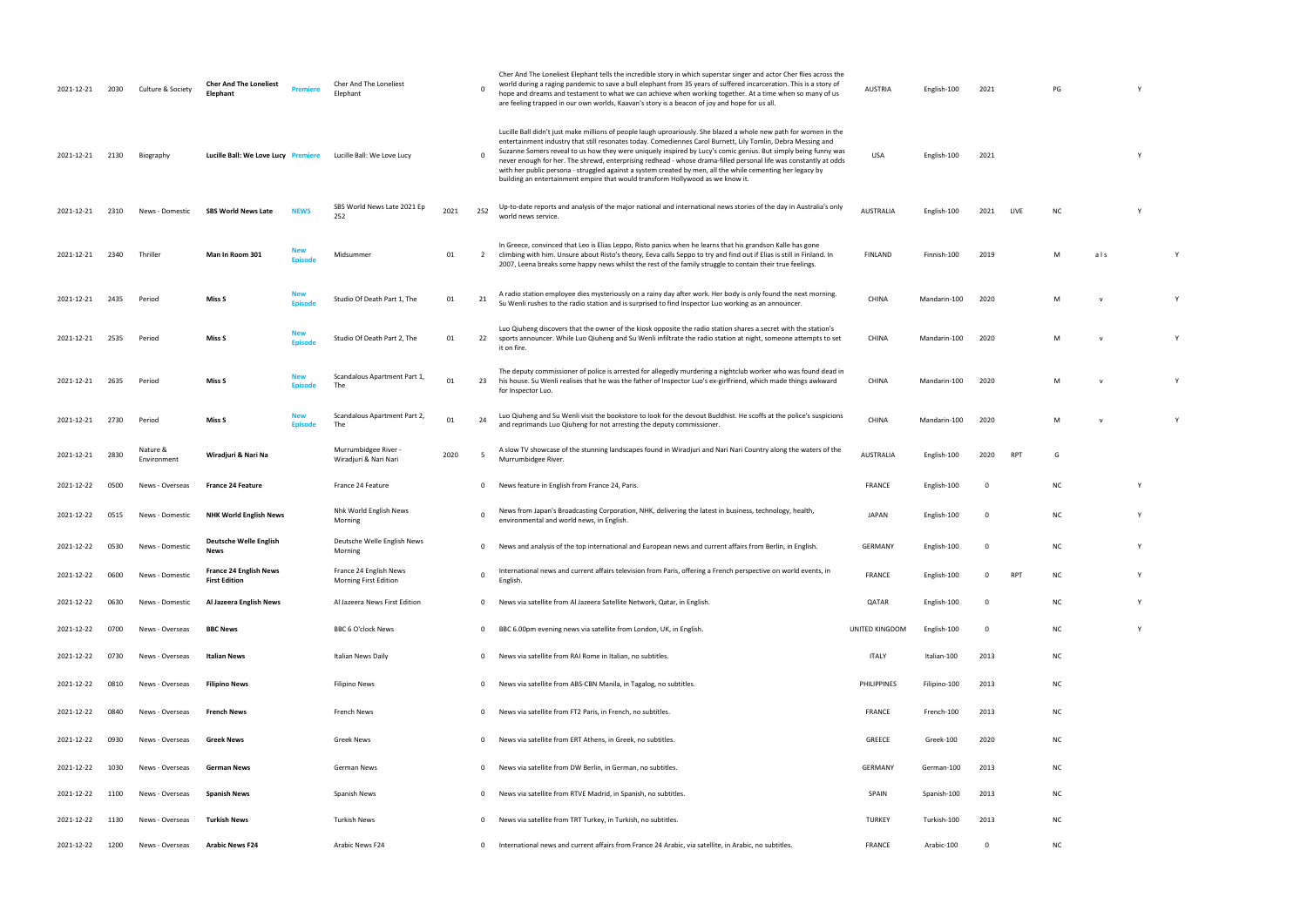| 2021-12-21 | 2030 | Culture & Society       | <b>Cher And The Loneliest</b><br>Elephant             | <b>Premiere</b>       | Cher And The Loneliest<br>Elephant                     |      |              | Cher And The Loneliest Elephant tells the incredible story in which superstar singer and actor Cher flies across the<br>world during a raging pandemic to save a bull elephant from 35 years of suffered incarceration. This is a story of<br>hope and dreams and testament to what we can achieve when working together. At a time when so many of us<br>are feeling trapped in our own worlds, Kaavan's story is a beacon of joy and hope for us all.                                                                                                                                                                                                                 | <b>AUSTRIA</b>     | English-100  | 2021        |      | PG |              |   |  |
|------------|------|-------------------------|-------------------------------------------------------|-----------------------|--------------------------------------------------------|------|--------------|-------------------------------------------------------------------------------------------------------------------------------------------------------------------------------------------------------------------------------------------------------------------------------------------------------------------------------------------------------------------------------------------------------------------------------------------------------------------------------------------------------------------------------------------------------------------------------------------------------------------------------------------------------------------------|--------------------|--------------|-------------|------|----|--------------|---|--|
| 2021-12-21 | 2130 | Biography               | Lucille Ball: We Love Lucy Premiere                   |                       | Lucille Ball: We Love Lucy                             |      | $\Omega$     | Lucille Ball didn't just make millions of people laugh uproariously. She blazed a whole new path for women in the<br>entertainment industry that still resonates today. Comediennes Carol Burnett, Lily Tomlin, Debra Messing and<br>Suzanne Somers reveal to us how they were uniquely inspired by Lucy's comic genius. But simply being funny was<br>never enough for her. The shrewd, enterprising redhead - whose drama-filled personal life was constantly at odds<br>with her public persona - struggled against a system created by men, all the while cementing her legacy by<br>building an entertainment empire that would transform Hollywood as we know it. | USA                | English-100  | 2021        |      |    |              | Υ |  |
| 2021-12-21 | 2310 | News - Domestic         | <b>SBS World News Late</b>                            | <b>NEWS</b>           | SBS World News Late 2021 Ep<br>252                     | 2021 | 252          | Up-to-date reports and analysis of the major national and international news stories of the day in Australia's only<br>world news service.                                                                                                                                                                                                                                                                                                                                                                                                                                                                                                                              | <b>AUSTRALIA</b>   | English-100  | 2021        | LIVE | NC |              |   |  |
| 2021-12-21 | 2340 | Thriller                | Man In Room 301                                       | New<br><b>Episode</b> | Midsummer                                              | 01   | 2            | In Greece, convinced that Leo is Elias Leppo, Risto panics when he learns that his grandson Kalle has gone<br>climbing with him. Unsure about Risto's theory, Eeva calls Seppo to try and find out if Elias is still in Finland. In<br>2007, Leena breaks some happy news whilst the rest of the family struggle to contain their true feelings.                                                                                                                                                                                                                                                                                                                        | FINLAND            | Finnish-100  | 2019        |      | M  | als          |   |  |
| 2021-12-21 | 2435 | Period                  | Miss S                                                | New<br><b>Episode</b> | Studio Of Death Part 1, The                            | 01   | 21           | A radio station employee dies mysteriously on a rainy day after work. Her body is only found the next morning.<br>Su Wenli rushes to the radio station and is surprised to find Inspector Luo working as an announcer.                                                                                                                                                                                                                                                                                                                                                                                                                                                  | <b>CHINA</b>       | Mandarin-100 | 2020        |      | M  |              |   |  |
| 2021-12-21 | 2535 | Period                  | Miss S                                                | New<br><b>Episode</b> | Studio Of Death Part 2, The                            | 01   | 22           | Luo Qiuheng discovers that the owner of the kiosk opposite the radio station shares a secret with the station's<br>sports announcer. While Luo Qiuheng and Su Wenli infiltrate the radio station at night, someone attempts to set<br>it on fire.                                                                                                                                                                                                                                                                                                                                                                                                                       | CHINA              | Mandarin-100 | 2020        |      | M  | $\mathsf{v}$ |   |  |
| 2021-12-21 | 2635 | Period                  | Miss S                                                | New<br><b>Episode</b> | Scandalous Apartment Part 1,<br>The                    | 01   | 23           | The deputy commissioner of police is arrested for allegedly murdering a nightclub worker who was found dead in<br>his house. Su Wenli realises that he was the father of Inspector Luo's ex-girlfriend, which made things awkward<br>for Inspector Luo.                                                                                                                                                                                                                                                                                                                                                                                                                 | <b>CHINA</b>       | Mandarin-100 | 2020        |      | M  |              |   |  |
| 2021-12-21 | 2730 | Period                  | Miss S                                                | New<br><b>Episode</b> | Scandalous Apartment Part 2,<br>The                    | 01   | 24           | Luo Qiuheng and Su Wenli visit the bookstore to look for the devout Buddhist. He scoffs at the police's suspicions<br>and reprimands Luo Qiuheng for not arresting the deputy commissioner.                                                                                                                                                                                                                                                                                                                                                                                                                                                                             | <b>CHINA</b>       | Mandarin-100 | 2020        |      | M  |              |   |  |
| 2021-12-21 | 2830 | Nature &<br>Environment | Wiradjuri & Nari Na                                   |                       | Murrumbidgee River -<br>Wiradjuri & Nari Nari          | 2020 | -5           | A slow TV showcase of the stunning landscapes found in Wiradjuri and Nari Nari Country along the waters of the<br>Murrumbidgee River.                                                                                                                                                                                                                                                                                                                                                                                                                                                                                                                                   | <b>AUSTRALIA</b>   | English-100  | 2020        | RPT  | G  |              |   |  |
| 2021-12-22 | 0500 | News - Overseas         | <b>France 24 Feature</b>                              |                       | France 24 Feature                                      |      | $\Omega$     | News feature in English from France 24, Paris.                                                                                                                                                                                                                                                                                                                                                                                                                                                                                                                                                                                                                          | <b>FRANCE</b>      | English-100  | 0           |      | NC |              | Y |  |
| 2021-12-22 | 0515 | News - Domestic         | <b>NHK World English News</b>                         |                       | Nhk World English News<br>Morning                      |      |              | News from Japan's Broadcasting Corporation, NHK, delivering the latest in business, technology, health,<br>environmental and world news, in English.                                                                                                                                                                                                                                                                                                                                                                                                                                                                                                                    | JAPAN              | English-100  | 0           |      | ΝC |              | Y |  |
| 2021-12-22 | 0530 | News - Domestic         | <b>Deutsche Welle English</b><br><b>News</b>          |                       | Deutsche Welle English News<br>Morning                 |      | $\mathbf 0$  | News and analysis of the top international and European news and current affairs from Berlin, in English.                                                                                                                                                                                                                                                                                                                                                                                                                                                                                                                                                               | <b>GERMANY</b>     | English-100  | $\Omega$    |      | ΝC |              | Y |  |
| 2021-12-22 | 0600 | News - Domestic         | <b>France 24 English News</b><br><b>First Edition</b> |                       | France 24 English News<br><b>Morning First Edition</b> |      | $\Omega$     | International news and current affairs television from Paris, offering a French perspective on world events, in<br>English                                                                                                                                                                                                                                                                                                                                                                                                                                                                                                                                              | <b>FRANCE</b>      | English-100  | 0           | RPT  | NC |              | Υ |  |
| 2021-12-22 | 0630 | News - Domestic         | Al Jazeera English News                               |                       | Al Jazeera News First Edition                          |      | $\mathbf 0$  | News via satellite from Al Jazeera Satellite Network, Qatar, in English.                                                                                                                                                                                                                                                                                                                                                                                                                                                                                                                                                                                                | QATAR              | English-100  | 0           |      | ΝC |              | Υ |  |
| 2021-12-22 | 0700 | News - Overseas         | <b>BBC News</b>                                       |                       | BBC 6 O'clock News                                     |      | $\mathbf 0$  | BBC 6.00pm evening news via satellite from London, UK, in English.                                                                                                                                                                                                                                                                                                                                                                                                                                                                                                                                                                                                      | UNITED KINGDOM     | English-100  | 0           |      | NC |              | Y |  |
| 2021-12-22 | 0730 | News - Overseas         | Italian News                                          |                       | Italian News Daily                                     |      | $\Omega$     | News via satellite from RAI Rome in Italian, no subtitles.                                                                                                                                                                                                                                                                                                                                                                                                                                                                                                                                                                                                              | <b>ITALY</b>       | Italian-100  | 2013        |      | NC |              |   |  |
| 2021-12-22 | 0810 | News - Overseas         | <b>Filipino News</b>                                  |                       | Filipino News                                          |      | $\Omega$     | News via satellite from ABS-CBN Manila, in Tagalog, no subtitles.                                                                                                                                                                                                                                                                                                                                                                                                                                                                                                                                                                                                       | <b>PHILIPPINES</b> | Filipino-100 | 2013        |      | NC |              |   |  |
| 2021-12-22 | 0840 | News - Overseas         | <b>French News</b>                                    |                       | French News                                            |      | $\Omega$     | News via satellite from FT2 Paris, in French, no subtitles.                                                                                                                                                                                                                                                                                                                                                                                                                                                                                                                                                                                                             | FRANCE             | French-100   | 2013        |      | NC |              |   |  |
| 2021-12-22 | 0930 | News - Overseas         | Greek News                                            |                       | Greek News                                             |      | $\Omega$     | News via satellite from ERT Athens, in Greek, no subtitles.                                                                                                                                                                                                                                                                                                                                                                                                                                                                                                                                                                                                             | GREECE             | Greek-100    | 2020        |      | NC |              |   |  |
| 2021-12-22 | 1030 | News - Overseas         | German News                                           |                       | German News                                            |      | $\mathbf 0$  | News via satellite from DW Berlin, in German, no subtitles.                                                                                                                                                                                                                                                                                                                                                                                                                                                                                                                                                                                                             | <b>GERMANY</b>     | German-100   | 2013        |      | NC |              |   |  |
| 2021-12-22 | 1100 | News - Overseas         | <b>Spanish News</b>                                   |                       | Spanish News                                           |      | $\Omega$     | News via satellite from RTVE Madrid, in Spanish, no subtitles.                                                                                                                                                                                                                                                                                                                                                                                                                                                                                                                                                                                                          | <b>SPAIN</b>       | Spanish-100  | 2013        |      | NC |              |   |  |
| 2021-12-22 | 1130 | News - Overseas         | Turkish News                                          |                       | Turkish News                                           |      | $\mathbf 0$  | News via satellite from TRT Turkey, in Turkish, no subtitles.                                                                                                                                                                                                                                                                                                                                                                                                                                                                                                                                                                                                           | <b>TURKEY</b>      | Turkish-100  | 2013        |      | ΝC |              |   |  |
| 2021-12-22 | 1200 | News - Overseas         | <b>Arabic News F24</b>                                |                       | Arabic News F24                                        |      | $\mathbf{0}$ | International news and current affairs from France 24 Arabic, via satellite, in Arabic, no subtitles.                                                                                                                                                                                                                                                                                                                                                                                                                                                                                                                                                                   | FRANCE             | Arabic-100   | $\mathbf 0$ |      | NC |              |   |  |
|            |      |                         |                                                       |                       |                                                        |      |              |                                                                                                                                                                                                                                                                                                                                                                                                                                                                                                                                                                                                                                                                         |                    |              |             |      |    |              |   |  |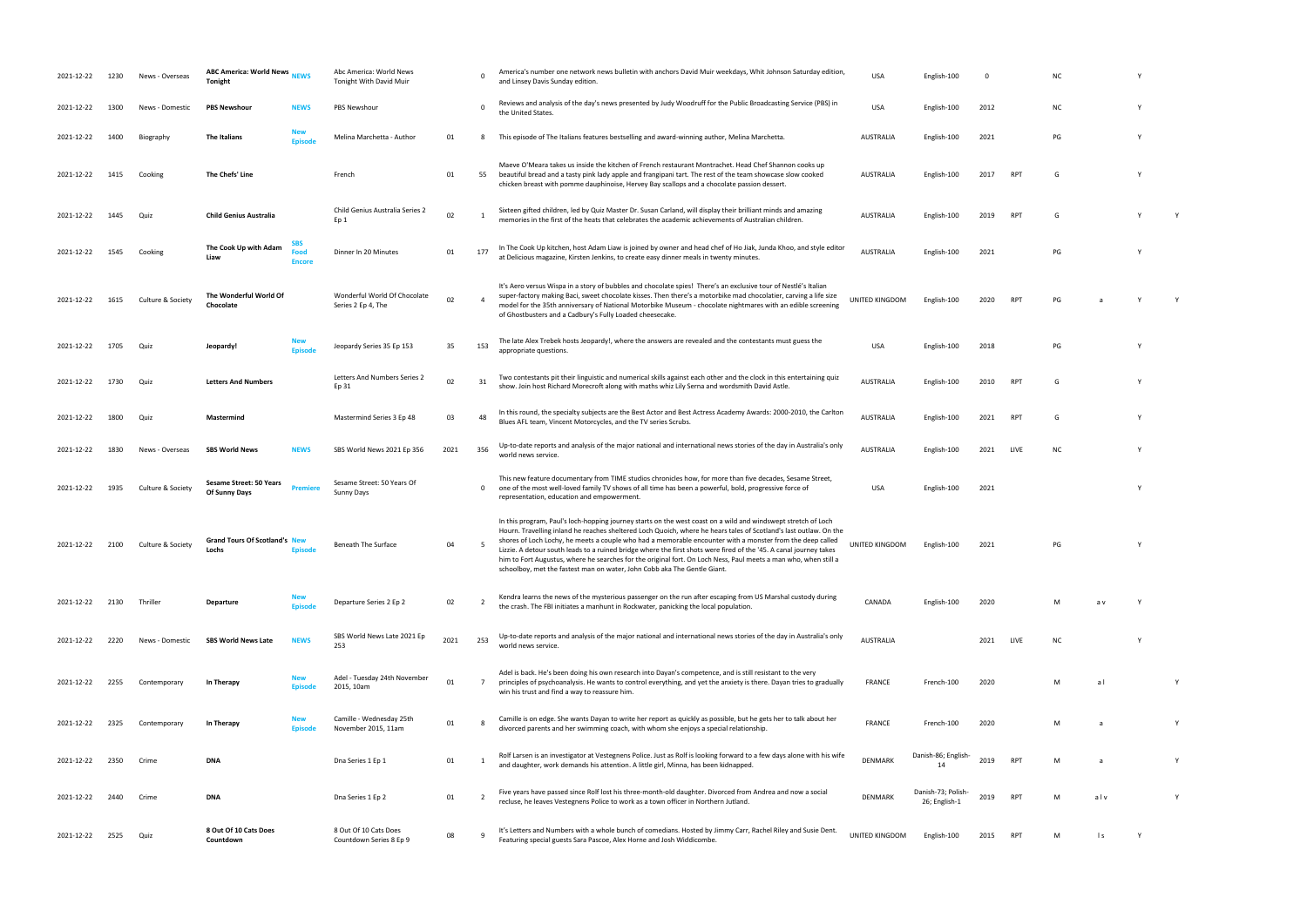| 2021-12-22 | 1230 | News - Overseas   | <b>ABC America: World News</b><br>Tonight       | <b>NEWS</b>                  | Abc America: World News<br><b>Tonight With David Muir</b> |      | $\Omega$       | America's number one network news bulletin with anchors David Muir weekdays, Whit Johnson Saturday edition,<br>and Linsey Davis Sunday edition.                                                                                                                                                                                                                                                                                                                                                                                                                                                                                                                      | <b>USA</b>            | English-100                         | 0    |                 | ΝC  |                |   |              |
|------------|------|-------------------|-------------------------------------------------|------------------------------|-----------------------------------------------------------|------|----------------|----------------------------------------------------------------------------------------------------------------------------------------------------------------------------------------------------------------------------------------------------------------------------------------------------------------------------------------------------------------------------------------------------------------------------------------------------------------------------------------------------------------------------------------------------------------------------------------------------------------------------------------------------------------------|-----------------------|-------------------------------------|------|-----------------|-----|----------------|---|--------------|
| 2021-12-22 | 1300 | News - Domestic   | <b>PBS Newshour</b>                             | <b>NEWS</b>                  | <b>PBS Newshour</b>                                       |      | $\mathbf 0$    | Reviews and analysis of the day's news presented by Judy Woodruff for the Public Broadcasting Service (PBS) in<br>the United States.                                                                                                                                                                                                                                                                                                                                                                                                                                                                                                                                 | <b>USA</b>            | English-100                         | 2012 |                 | ΝC  |                | Υ |              |
| 2021-12-22 | 1400 | Biography         | The Italians                                    | New<br><b>Episode</b>        | Melina Marchetta - Author                                 | 01   | 8              | This episode of The Italians features bestselling and award-winning author, Melina Marchetta.                                                                                                                                                                                                                                                                                                                                                                                                                                                                                                                                                                        | AUSTRALIA             | English-100                         | 2021 |                 | PG  |                |   |              |
| 2021-12-22 | 1415 | Cooking           | The Chefs' Line                                 |                              | French                                                    | 01   | 55             | Maeve O'Meara takes us inside the kitchen of French restaurant Montrachet. Head Chef Shannon cooks up<br>beautiful bread and a tasty pink lady apple and frangipani tart. The rest of the team showcase slow cooked<br>chicken breast with pomme dauphinoise, Hervey Bay scallops and a chocolate passion dessert.                                                                                                                                                                                                                                                                                                                                                   | AUSTRALIA             | English-100                         | 2017 | RP1             | G   |                |   |              |
| 2021-12-22 | 1445 | Quiz              | <b>Child Genius Australia</b>                   |                              | Child Genius Australia Series 2<br>Ep 1                   | 02   |                | Sixteen gifted children, led by Quiz Master Dr. Susan Carland, will display their brilliant minds and amazing<br>memories in the first of the heats that celebrates the academic achievements of Australian children.                                                                                                                                                                                                                                                                                                                                                                                                                                                | AUSTRALIA             | English-100                         | 2019 | RP <sup>-</sup> | G   |                |   |              |
| 2021-12-22 | 1545 | Cooking           | The Cook Up with Adam<br>Liaw                   | SBS<br>Food<br><b>Encore</b> | Dinner In 20 Minutes                                      | 01   | 177            | In The Cook Up kitchen, host Adam Liaw is joined by owner and head chef of Ho Jiak, Junda Khoo, and style editor<br>at Delicious magazine, Kirsten Jenkins, to create easy dinner meals in twenty minutes.                                                                                                                                                                                                                                                                                                                                                                                                                                                           | <b>AUSTRALIA</b>      | English-100                         | 2021 |                 | PG  |                |   |              |
| 2021-12-22 | 1615 | Culture & Society | The Wonderful World Of<br>Chocolate             |                              | Wonderful World Of Chocolate<br>Series 2 Ep 4, The        | 02   | $\overline{a}$ | It's Aero versus Wispa in a story of bubbles and chocolate spies! There's an exclusive tour of Nestlé's Italian<br>super-factory making Baci, sweet chocolate kisses. Then there's a motorbike mad chocolatier, carving a life size<br>model for the 35th anniversary of National Motorbike Museum - chocolate nightmares with an edible screening<br>of Ghostbusters and a Cadbury's Fully Loaded cheesecake.                                                                                                                                                                                                                                                       | <b>UNITED KINGDOM</b> | English-100                         | 2020 | RP <sup>-</sup> | PG  |                |   |              |
| 2021-12-22 | 1705 | Quiz              | Jeopardy!                                       | <b>New</b><br><b>Episode</b> | Jeopardy Series 35 Ep 153                                 | 35   | 153            | The late Alex Trebek hosts Jeopardy!, where the answers are revealed and the contestants must guess the<br>appropriate questions.                                                                                                                                                                                                                                                                                                                                                                                                                                                                                                                                    | <b>USA</b>            | English-100                         | 2018 |                 | PG  |                |   |              |
| 2021-12-22 | 1730 | Quiz              | <b>Letters And Numbers</b>                      |                              | Letters And Numbers Series 2<br>Ep 31                     | 02   | 31             | Two contestants pit their linguistic and numerical skills against each other and the clock in this entertaining quiz<br>show. Join host Richard Morecroft along with maths whiz Lily Serna and wordsmith David Astle.                                                                                                                                                                                                                                                                                                                                                                                                                                                | <b>AUSTRALIA</b>      | English-100                         | 2010 | RP1             | G   |                |   |              |
| 2021-12-22 | 1800 | Quiz              | Mastermind                                      |                              | Mastermind Series 3 Ep 48                                 | 03   | 48             | In this round, the specialty subjects are the Best Actor and Best Actress Academy Awards: 2000-2010, the Carlton<br>Blues AFL team, Vincent Motorcycles, and the TV series Scrubs.                                                                                                                                                                                                                                                                                                                                                                                                                                                                                   | <b>AUSTRALIA</b>      | English-100                         | 2021 | RP1             | G   |                |   |              |
| 2021-12-22 | 1830 | News - Overseas   | <b>SBS World News</b>                           | <b>NEWS</b>                  | SBS World News 2021 Ep 356                                | 2021 | 356            | Up-to-date reports and analysis of the major national and international news stories of the day in Australia's only<br>world news service.                                                                                                                                                                                                                                                                                                                                                                                                                                                                                                                           | AUSTRALIA             | English-100                         | 2021 | LIVE            | ΝC  |                |   |              |
| 2021-12-22 | 1935 | Culture & Society | <b>Sesame Street: 50 Years</b><br>Of Sunny Days | <b>Premiere</b>              | Sesame Street: 50 Years Of<br>Sunny Days                  |      | 0              | This new feature documentary from TIME studios chronicles how, for more than five decades, Sesame Street,<br>one of the most well-loved family TV shows of all time has been a powerful, bold, progressive force of<br>representation, education and empowerment.                                                                                                                                                                                                                                                                                                                                                                                                    | USA                   | English-100                         | 2021 |                 |     |                |   |              |
| 2021-12-22 | 2100 | Culture & Society | <b>Grand Tours Of Scotland's New</b><br>Lochs   | Episode                      | <b>Beneath The Surface</b>                                | 04   |                | In this program, Paul's loch-hopping journey starts on the west coast on a wild and windswept stretch of Loch<br>Hourn. Travelling inland he reaches sheltered Loch Quoich, where he hears tales of Scotland's last outlaw. On the<br>shores of Loch Lochy, he meets a couple who had a memorable encounter with a monster from the deep called<br>Lizzie. A detour south leads to a ruined bridge where the first shots were fired of the '45. A canal journey takes<br>him to Fort Augustus, where he searches for the original fort. On Loch Ness, Paul meets a man who, when still a<br>schoolboy, met the fastest man on water, John Cobb aka The Gentle Giant. | UNITED KINGDOM        | English-100                         | 2021 |                 | PG  |                |   |              |
| 2021-12-22 | 2130 | Thriller          | Departure                                       | New<br><b>Episode</b>        | Departure Series 2 Ep 2                                   | 02   | <sup>2</sup>   | Kendra learns the news of the mysterious passenger on the run after escaping from US Marshal custody during<br>the crash. The FBI initiates a manhunt in Rockwater, panicking the local population.                                                                                                                                                                                                                                                                                                                                                                                                                                                                  | CANADA                | English-100                         | 2020 |                 | M   | a v            | Y |              |
| 2021-12-22 | 2220 | News - Domestic   | <b>SBS World News Late</b>                      | <b>NEWS</b>                  | SBS World News Late 2021 Ep<br>253                        | 2021 | 253            | Up-to-date reports and analysis of the major national and international news stories of the day in Australia's only<br>world news service.                                                                                                                                                                                                                                                                                                                                                                                                                                                                                                                           | <b>AUSTRALIA</b>      |                                     | 2021 | LIVE            | NC. |                |   |              |
| 2021-12-22 | 2255 | Contemporary      | In Therapy                                      | <b>New</b><br><b>Episode</b> | Adel - Tuesday 24th November<br>2015, 10am                | 01   | $\overline{7}$ | Adel is back. He's been doing his own research into Dayan's competence, and is still resistant to the very<br>principles of psychoanalysis. He wants to control everything, and yet the anxiety is there. Dayan tries to gradually<br>win his trust and find a way to reassure him.                                                                                                                                                                                                                                                                                                                                                                                  | <b>FRANCE</b>         | French-100                          | 2020 |                 | M   | $\overline{a}$ |   |              |
| 2021-12-22 | 2325 | Contemporary      | In Therapy                                      | New<br><b>Episode</b>        | Camille - Wednesday 25th<br>November 2015, 11am           | 01   | 8              | Camille is on edge. She wants Dayan to write her report as quickly as possible, but he gets her to talk about her<br>divorced parents and her swimming coach, with whom she enjoys a special relationship.                                                                                                                                                                                                                                                                                                                                                                                                                                                           | <b>FRANCE</b>         | French-100                          | 2020 |                 | M   |                |   | Y            |
| 2021-12-22 | 2350 | Crime             | <b>DNA</b>                                      |                              | Dna Series 1 Ep 1                                         | 01   |                | Rolf Larsen is an investigator at Vestegnens Police. Just as Rolf is looking forward to a few days alone with his wife<br>and daughter, work demands his attention. A little girl, Minna, has been kidnapped.                                                                                                                                                                                                                                                                                                                                                                                                                                                        | <b>DENMARK</b>        | Danish-86; English-<br>14           | 2019 | RP <sub>1</sub> | M   |                |   | $\mathsf{Y}$ |
| 2021-12-22 | 2440 | Crime             | <b>DNA</b>                                      |                              | Dna Series 1 Ep 2                                         | 01   |                | Five years have passed since Rolf lost his three-month-old daughter. Divorced from Andrea and now a social<br>recluse, he leaves Vestegnens Police to work as a town officer in Northern Jutland.                                                                                                                                                                                                                                                                                                                                                                                                                                                                    | <b>DENMARK</b>        | Danish-73; Polish-<br>26; English-1 | 2019 | RP <sub>1</sub> | M   | alv            |   | Y            |
| 2021-12-22 | 2525 | Quiz              | 8 Out Of 10 Cats Does<br>Countdown              |                              | 8 Out Of 10 Cats Does<br>Countdown Series 8 Ep 9          | 08   |                | It's Letters and Numbers with a whole bunch of comedians. Hosted by Jimmy Carr, Rachel Riley and Susie Dent<br>Featuring special guests Sara Pascoe, Alex Horne and Josh Widdicombe.                                                                                                                                                                                                                                                                                                                                                                                                                                                                                 | UNITED KINGDOM        | English-100                         | 2015 | RP1             | M   | $\mathsf{I}$ s | Y |              |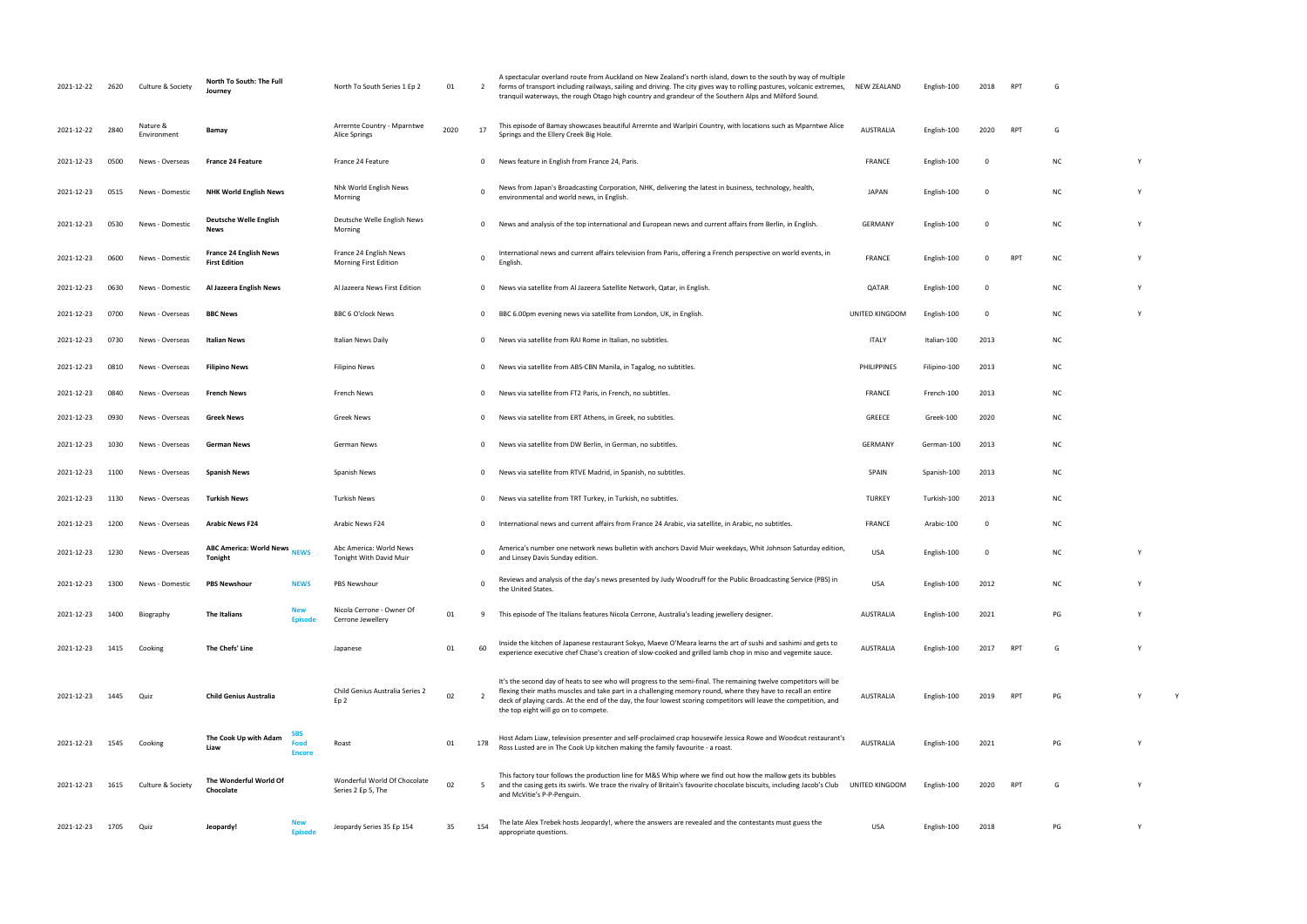| 2021-12-22 | 2620 | Culture & Society       | North To South: The Full<br>Journey                   |                                     | North To South Series 1 Ep 2                           | 01   | 2              | A spectacular overland route from Auckland on New Zealand's north island, down to the south by way of multiple<br>forms of transport including railways, sailing and driving. The city gives way to rolling pastures, volcanic extremes,<br>tranquil waterways, the rough Otago high country and grandeur of the Southern Alps and Milford Sound.                                              | <b>NEW ZEALAND</b> | English-100  | 2018     | <b>RPT</b>      | G         |   |
|------------|------|-------------------------|-------------------------------------------------------|-------------------------------------|--------------------------------------------------------|------|----------------|------------------------------------------------------------------------------------------------------------------------------------------------------------------------------------------------------------------------------------------------------------------------------------------------------------------------------------------------------------------------------------------------|--------------------|--------------|----------|-----------------|-----------|---|
| 2021-12-22 | 2840 | Nature &<br>Environment | Bamay                                                 |                                     | Arrernte Country - Mparntwe<br>Alice Springs           | 2020 | 17             | This episode of Bamay showcases beautiful Arrernte and Warlpiri Country, with locations such as Mparntwe Alice<br>Springs and the Ellery Creek Big Hole.                                                                                                                                                                                                                                       | <b>AUSTRALIA</b>   | English-100  | 2020     | <b>RPT</b>      | G         |   |
| 2021-12-23 | 0500 | News - Overseas         | <b>France 24 Feature</b>                              |                                     | France 24 Feature                                      |      | $\Omega$       | News feature in English from France 24, Paris.                                                                                                                                                                                                                                                                                                                                                 | <b>FRANCE</b>      | English-100  | $\Omega$ |                 | ΝC        |   |
| 2021-12-23 | 0515 | News - Domestic         | <b>NHK World English News</b>                         |                                     | Nhk World English News<br>Morning                      |      | - 0            | News from Japan's Broadcasting Corporation, NHK, delivering the latest in business, technology, health,<br>environmental and world news, in English.                                                                                                                                                                                                                                           | <b>JAPAN</b>       | English-100  | $\Omega$ |                 | <b>NC</b> | Y |
| 2021-12-23 | 0530 | News - Domestic         | <b>Deutsche Welle English</b><br><b>News</b>          |                                     | Deutsche Welle English News<br>Morning                 |      | $\mathbf 0$    | News and analysis of the top international and European news and current affairs from Berlin, in English.                                                                                                                                                                                                                                                                                      | <b>GERMANY</b>     | English-100  | $\Omega$ |                 | <b>NC</b> | Y |
| 2021-12-23 | 0600 | News - Domestic         | <b>France 24 English News</b><br><b>First Edition</b> |                                     | France 24 English News<br><b>Morning First Edition</b> |      |                | International news and current affairs television from Paris, offering a French perspective on world events, in<br>English                                                                                                                                                                                                                                                                     | <b>FRANCE</b>      | English-100  |          | <b>RPT</b>      | <b>NC</b> | Y |
| 2021-12-23 | 0630 | News - Domestic         | Al Jazeera English News                               |                                     | Al Jazeera News First Edition                          |      | 0              | News via satellite from Al Jazeera Satellite Network, Qatar, in English.                                                                                                                                                                                                                                                                                                                       | QATAR              | English-100  | $\Omega$ |                 | <b>NC</b> | Y |
| 2021-12-23 | 0700 | News - Overseas         | <b>BBC News</b>                                       |                                     | BBC 6 O'clock News                                     |      | 0              | BBC 6.00pm evening news via satellite from London, UK, in English.                                                                                                                                                                                                                                                                                                                             | UNITED KINGDOM     | English-100  | $\Omega$ |                 | <b>NC</b> |   |
| 2021-12-23 | 0730 | News - Overseas         | Italian News                                          |                                     | Italian News Daily                                     |      | $\Omega$       | News via satellite from RAI Rome in Italian, no subtitles.                                                                                                                                                                                                                                                                                                                                     | <b>ITALY</b>       | Italian-100  | 2013     |                 | <b>NC</b> |   |
| 2021-12-23 | 0810 | News - Overseas         | <b>Filipino News</b>                                  |                                     | <b>Filipino News</b>                                   |      | $\Omega$       | News via satellite from ABS-CBN Manila, in Tagalog, no subtitles.                                                                                                                                                                                                                                                                                                                              | PHILIPPINES        | Filipino-100 | 2013     |                 | ΝC        |   |
| 2021-12-23 | 0840 | News - Overseas         | <b>French News</b>                                    |                                     | French News                                            |      | $\Omega$       | News via satellite from FT2 Paris, in French, no subtitles.                                                                                                                                                                                                                                                                                                                                    | <b>FRANCE</b>      | French-100   | 2013     |                 | <b>NC</b> |   |
| 2021-12-23 | 0930 | News - Overseas         | Greek News                                            |                                     | Greek News                                             |      | $\Omega$       | News via satellite from ERT Athens, in Greek, no subtitles.                                                                                                                                                                                                                                                                                                                                    | <b>GREECE</b>      | Greek-100    | 2020     |                 | ΝC        |   |
| 2021-12-23 | 1030 | News - Overseas         | German News                                           |                                     | German News                                            |      | $\Omega$       | News via satellite from DW Berlin, in German, no subtitles.                                                                                                                                                                                                                                                                                                                                    | <b>GERMANY</b>     | German-100   | 2013     |                 | ΝC        |   |
| 2021-12-23 | 1100 | News - Overseas         | <b>Spanish News</b>                                   |                                     | Spanish News                                           |      | $\mathbf{0}$   | News via satellite from RTVE Madrid, in Spanish, no subtitles.                                                                                                                                                                                                                                                                                                                                 | <b>SPAIN</b>       | Spanish-100  | 2013     |                 | ΝC        |   |
| 2021-12-23 | 1130 | News - Overseas         | Turkish News                                          |                                     | <b>Turkish News</b>                                    |      | 0              | News via satellite from TRT Turkey, in Turkish, no subtitles.                                                                                                                                                                                                                                                                                                                                  | <b>TURKEY</b>      | Turkish-100  | 2013     |                 | <b>NC</b> |   |
| 2021-12-23 | 1200 | News - Overseas         | <b>Arabic News F24</b>                                |                                     | Arabic News F24                                        |      | $\Omega$       | International news and current affairs from France 24 Arabic, via satellite, in Arabic, no subtitles.                                                                                                                                                                                                                                                                                          | <b>FRANCE</b>      | Arabic-100   | $\Omega$ |                 | <b>NC</b> |   |
| 2021-12-23 | 1230 | News - Overseas         | <b>ABC America: World News</b> NEWS<br>Tonight        |                                     | Abc America: World News<br>Tonight With David Muir     |      | $\Omega$       | America's number one network news bulletin with anchors David Muir weekdays, Whit Johnson Saturday edition,<br>and Linsey Davis Sunday edition.                                                                                                                                                                                                                                                | <b>USA</b>         | English-100  |          |                 | <b>NC</b> | Y |
| 2021-12-23 | 1300 | News - Domestic         | <b>PBS Newshour</b>                                   | <b>NEWS</b>                         | PBS Newshour                                           |      | $\Omega$       | Reviews and analysis of the day's news presented by Judy Woodruff for the Public Broadcasting Service (PBS) in<br>the United States.                                                                                                                                                                                                                                                           | USA                | English-100  | 2012     |                 | <b>NC</b> | Y |
| 2021-12-23 | 1400 | Biography               | The Italians                                          | <b>New</b><br><b>Episode</b>        | Nicola Cerrone - Owner Of<br>Cerrone Jewellery         | 01   | -9             | This episode of The Italians features Nicola Cerrone, Australia's leading jewellery designer.                                                                                                                                                                                                                                                                                                  | <b>AUSTRALIA</b>   | English-100  | 2021     |                 | PG        |   |
| 2021-12-23 | 1415 | Cooking                 | The Chefs' Line                                       |                                     | Japanese                                               | 01   | 60             | Inside the kitchen of Japanese restaurant Sokyo, Maeve O'Meara learns the art of sushi and sashimi and gets to<br>experience executive chef Chase's creation of slow-cooked and grilled lamb chop in miso and vegemite sauce.                                                                                                                                                                  | <b>AUSTRALIA</b>   | English-100  | 2017     | <b>RPT</b>      | G         |   |
| 2021-12-23 | 1445 | Quiz                    | <b>Child Genius Australia</b>                         |                                     | Child Genius Australia Series 2<br>Ep <sub>2</sub>     | 02   | $\overline{2}$ | It's the second day of heats to see who will progress to the semi-final. The remaining twelve competitors will be<br>flexing their maths muscles and take part in a challenging memory round, where they have to recall an entire<br>deck of playing cards. At the end of the day, the four lowest scoring competitors will leave the competition, and<br>the top eight will go on to compete. | AUSTRALIA          | English-100  | 2019     | <b>RPT</b>      | PG        |   |
| 2021-12-23 | 1545 | Cooking                 | The Cook Up with Adam<br>Liaw                         | <b>SBS</b><br>Food<br><b>Encore</b> | Roast                                                  | 01   | 178            | Host Adam Liaw, television presenter and self-proclaimed crap housewife Jessica Rowe and Woodcut restaurant's<br>Ross Lusted are in The Cook Up kitchen making the family favourite - a roast.                                                                                                                                                                                                 | <b>AUSTRALIA</b>   | English-100  | 2021     |                 | PG        |   |
| 2021-12-23 | 1615 | Culture & Society       | The Wonderful World Of<br>Chocolate                   |                                     | Wonderful World Of Chocolate<br>Series 2 Ep 5, The     | 02   | 5              | This factory tour follows the production line for M&S Whip where we find out how the mallow gets its bubbles<br>and the casing gets its swirls. We trace the rivalry of Britain's favourite chocolate biscuits, including Jacob's Club<br>and McVitie's P-P-Penguin.                                                                                                                           | UNITED KINGDOM     | English-100  | 2020     | RP <sub>1</sub> | G         |   |
| 2021-12-23 | 1705 | Quiz                    | Jeopardy!                                             | <b>New</b><br><b>Episode</b>        | Jeopardy Series 35 Ep 154                              | 35   | 154            | The late Alex Trebek hosts Jeopardy!, where the answers are revealed and the contestants must guess the<br>appropriate questions.                                                                                                                                                                                                                                                              | USA                | English-100  | 2018     |                 | PG        | Y |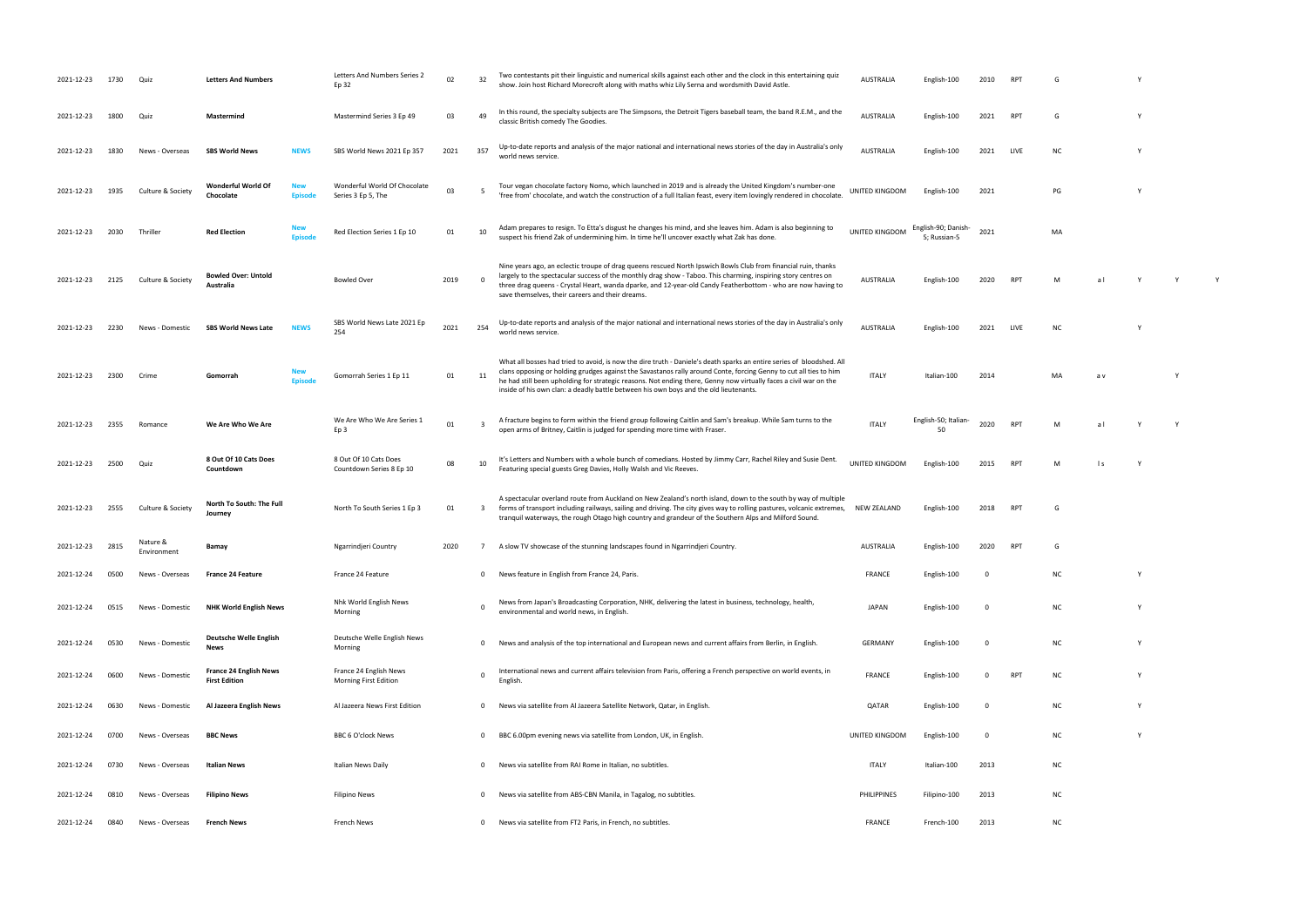| 2021-12-23 | 1730 | Quiz                    | <b>Letters And Numbers</b>                            | Letters And Numbers Series 2<br>Ep 32                  | 02   | 32                      | Two contestants pit their linguistic and numerical skills against each other and the clock in this entertaining quiz<br>show. Join host Richard Morecroft along with maths whiz Lily Serna and wordsmith David Astle.                                                                                                                                                                                                                                    | <b>AUSTRALIA</b> | English-100                         | 2010        | RP.             |           |     |   |   |  |
|------------|------|-------------------------|-------------------------------------------------------|--------------------------------------------------------|------|-------------------------|----------------------------------------------------------------------------------------------------------------------------------------------------------------------------------------------------------------------------------------------------------------------------------------------------------------------------------------------------------------------------------------------------------------------------------------------------------|------------------|-------------------------------------|-------------|-----------------|-----------|-----|---|---|--|
| 2021-12-23 | 1800 | Quiz                    | Mastermind                                            | Mastermind Series 3 Ep 49                              | 03   | 49                      | In this round, the specialty subjects are The Simpsons, the Detroit Tigers baseball team, the band R.E.M., and the<br>classic British comedy The Goodies.                                                                                                                                                                                                                                                                                                | AUSTRALIA        | English-100                         | 2021        | RP <sup>-</sup> |           |     |   |   |  |
| 2021-12-23 | 1830 | News - Overseas         | <b>SBS World News</b><br>NEWS                         | SBS World News 2021 Ep 357                             | 2021 | 357                     | Up-to-date reports and analysis of the major national and international news stories of the day in Australia's only<br>world news service.                                                                                                                                                                                                                                                                                                               | <b>AUSTRALIA</b> | English-100                         | 2021        | LIVE            | <b>NC</b> |     |   |   |  |
| 2021-12-23 | 1935 | Culture & Society       | Wonderful World Of<br>Chocolate<br>Episod             | Wonderful World Of Chocolate<br>Series 3 Ep 5, The     | 03   | - 5                     | Tour vegan chocolate factory Nomo, which launched in 2019 and is already the United Kingdom's number-one<br>'free from' chocolate, and watch the construction of a full Italian feast, every item lovingly rendered in chocolate.                                                                                                                                                                                                                        | UNITED KINGDOM   | English-100                         | 2021        |                 | PG        |     |   |   |  |
| 2021-12-23 | 2030 | Thriller                | <b>Red Election</b>                                   | Red Election Series 1 Ep 10                            | 01   | 10                      | Adam prepares to resign. To Etta's disgust he changes his mind, and she leaves him. Adam is also beginning to<br>suspect his friend Zak of undermining him. In time he'll uncover exactly what Zak has done.                                                                                                                                                                                                                                             | UNITED KINGDOM   | English-90; Danish-<br>5; Russian-5 | 2021        |                 | MA        |     |   |   |  |
| 2021-12-23 | 2125 | Culture & Society       | <b>Bowled Over: Untold</b><br>Australia               | <b>Bowled Over</b>                                     | 2019 | $\overline{0}$          | Nine years ago, an eclectic troupe of drag queens rescued North Ipswich Bowls Club from financial ruin, thanks<br>largely to the spectacular success of the monthly drag show - Taboo. This charming, inspiring story centres on<br>three drag queens - Crystal Heart, wanda dparke, and 12-year-old Candy Featherbottom - who are now having to<br>save themselves, their careers and their dreams.                                                     | AUSTRALIA        | English-100                         | 2020        | RP <sup>®</sup> |           |     |   |   |  |
| 2021-12-23 | 2230 | News - Domestic         | <b>SBS World News Late</b><br><b>NEWS</b>             | SBS World News Late 2021 Ep<br>254                     | 2021 | 254                     | Up-to-date reports and analysis of the major national and international news stories of the day in Australia's only<br>world news service.                                                                                                                                                                                                                                                                                                               | AUSTRALIA        | English-100                         | 2021        | LIVE            | ΝC        |     |   |   |  |
| 2021-12-23 | 2300 | Crime                   | Gomorrah                                              | Gomorrah Series 1 Ep 11                                | 01   | 11                      | What all bosses had tried to avoid, is now the dire truth - Daniele's death sparks an entire series of bloodshed. All<br>clans opposing or holding grudges against the Savastanos rally around Conte, forcing Genny to cut all ties to him<br>he had still been upholding for strategic reasons. Not ending there, Genny now virtually faces a civil war on the<br>inside of his own clan: a deadly battle between his own boys and the old lieutenants. | <b>ITALY</b>     | Italian-100                         | 2014        |                 | MA        |     |   |   |  |
| 2021-12-23 | 2355 | Romance                 | We Are Who We Are                                     | We Are Who We Are Series 1<br>Ep <sub>3</sub>          | 01   | - 3                     | A fracture begins to form within the friend group following Caitlin and Sam's breakup. While Sam turns to the<br>open arms of Britney, Caitlin is judged for spending more time with Fraser.                                                                                                                                                                                                                                                             | <b>ITALY</b>     | English-50; Italian-                | 2020        | <b>RPT</b>      | M         | a l |   | Y |  |
| 2021-12-23 | 2500 | Quiz                    | 8 Out Of 10 Cats Does<br>Countdown                    | 8 Out Of 10 Cats Does<br>Countdown Series 8 Ep 10      | 08   | 10                      | It's Letters and Numbers with a whole bunch of comedians. Hosted by Jimmy Carr, Rachel Riley and Susie Dent.<br>Featuring special guests Greg Davies, Holly Walsh and Vic Reeves.                                                                                                                                                                                                                                                                        | UNITED KINGDOM   | English-100                         | 2015        | <b>RPT</b>      | M         |     |   |   |  |
| 2021-12-23 | 2555 | Culture & Society       | North To South: The Full<br>Journey                   | North To South Series 1 Ep 3                           | 01   | $\overline{\mathbf{3}}$ | A spectacular overland route from Auckland on New Zealand's north island, down to the south by way of multiple<br>forms of transport including railways, sailing and driving. The city gives way to rolling pastures, volcanic extremes,<br>tranquil waterways, the rough Otago high country and grandeur of the Southern Alps and Milford Sound.                                                                                                        | NEW ZEALAND      | English-100                         | 2018        |                 |           |     |   |   |  |
| 2021-12-23 | 2815 | Nature &<br>Environment | Bamay                                                 | Ngarrindjeri Country                                   | 2020 |                         | A slow TV showcase of the stunning landscapes found in Ngarrindjeri Country.                                                                                                                                                                                                                                                                                                                                                                             | AUSTRALIA        | English-100                         | 2020        | RP <sup>-</sup> |           |     |   |   |  |
| 2021-12-24 | 0500 | News - Overseas         | <b>France 24 Feature</b>                              | France 24 Feature                                      |      | 0                       | News feature in English from France 24, Paris.                                                                                                                                                                                                                                                                                                                                                                                                           | <b>FRANCE</b>    | English-100                         | - 0         |                 | ΝC        |     | Y |   |  |
| 2021-12-24 | 0515 | News - Domestic         | <b>NHK World English News</b>                         | Nhk World English News<br>Morning                      |      | $\Omega$                | News from Japan's Broadcasting Corporation, NHK, delivering the latest in business, technology, health,<br>environmental and world news, in English.                                                                                                                                                                                                                                                                                                     | <b>JAPAN</b>     | English-100                         | - 0         |                 | NC        |     | Y |   |  |
| 2021-12-24 | 0530 | News - Domestic         | <b>Deutsche Welle English</b><br>News                 | Deutsche Welle English News<br>Morning                 |      | $\mathbf{0}$            | News and analysis of the top international and European news and current affairs from Berlin, in English.                                                                                                                                                                                                                                                                                                                                                | <b>GERMANY</b>   | English-100                         | $\mathbf 0$ |                 | ΝC        |     | Y |   |  |
| 2021-12-24 | 0600 | News - Domestic         | <b>France 24 English News</b><br><b>First Edition</b> | France 24 English News<br><b>Morning First Edition</b> |      | $\Omega$                | International news and current affairs television from Paris, offering a French perspective on world events, in<br>English                                                                                                                                                                                                                                                                                                                               | <b>FRANCE</b>    | English-100                         | $\Omega$    | <b>RPT</b>      | ΝC        |     | Υ |   |  |
| 2021-12-24 | 0630 | News - Domestic         | Al Jazeera English News                               | Al Jazeera News First Edition                          |      | $\mathbf{0}$            | News via satellite from Al Jazeera Satellite Network, Qatar, in English.                                                                                                                                                                                                                                                                                                                                                                                 | QATAR            | English-100                         | $\mathbf 0$ |                 | ΝC        |     | Y |   |  |
| 2021-12-24 | 0700 | News - Overseas         | <b>BBC News</b>                                       | BBC 6 O'clock News                                     |      | $\mathbf{0}$            | BBC 6.00pm evening news via satellite from London, UK, in English.                                                                                                                                                                                                                                                                                                                                                                                       | UNITED KINGDOM   | English-100                         | $\mathbf 0$ |                 | ΝC        |     | Y |   |  |
| 2021-12-24 | 0730 | News - Overseas         | Italian News                                          | Italian News Daily                                     |      | $\Omega$                | News via satellite from RAI Rome in Italian, no subtitles.                                                                                                                                                                                                                                                                                                                                                                                               | ITALY            | Italian-100                         | 2013        |                 | ΝC        |     |   |   |  |
| 2021-12-24 | 0810 | News - Overseas         | <b>Filipino News</b>                                  | <b>Filipino News</b>                                   |      | - 0                     | News via satellite from ABS-CBN Manila, in Tagalog, no subtitles.                                                                                                                                                                                                                                                                                                                                                                                        | PHILIPPINES      | Filipino-100                        | 2013        |                 | ΝC        |     |   |   |  |
| 2021-12-24 | 0840 | News - Overseas         | <b>French News</b>                                    | French News                                            |      | $\mathbf{0}$            | News via satellite from FT2 Paris, in French, no subtitles.                                                                                                                                                                                                                                                                                                                                                                                              | <b>FRANCE</b>    | French-100                          | 2013        |                 | NC        |     |   |   |  |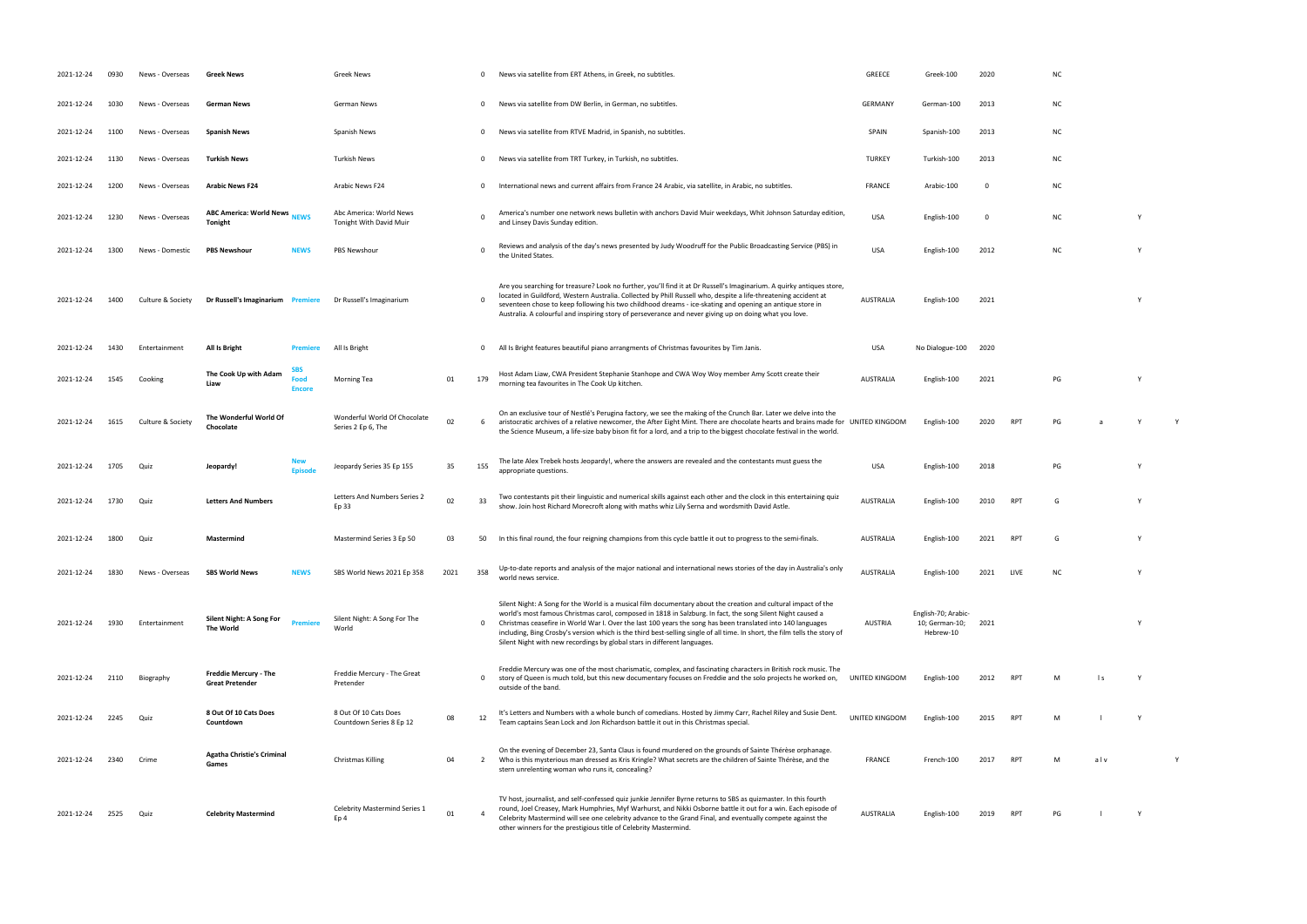| 2021-12-24 | 0930 | News - Overseas   | <b>Greek News</b>                                               | <b>Greek News</b>                                  |      |              | News via satellite from ERT Athens, in Greek, no subtitles.                                                                                                                                                                                                                                                                                                                                                                                                                                                                                           | GREECE           | Greek-100                                          | 2020        |            | NC        |     |  |
|------------|------|-------------------|-----------------------------------------------------------------|----------------------------------------------------|------|--------------|-------------------------------------------------------------------------------------------------------------------------------------------------------------------------------------------------------------------------------------------------------------------------------------------------------------------------------------------------------------------------------------------------------------------------------------------------------------------------------------------------------------------------------------------------------|------------------|----------------------------------------------------|-------------|------------|-----------|-----|--|
| 2021-12-24 | 1030 | News - Overseas   | <b>German News</b>                                              | German News                                        |      | $\mathbf 0$  | News via satellite from DW Berlin, in German, no subtitles.                                                                                                                                                                                                                                                                                                                                                                                                                                                                                           | <b>GERMANY</b>   | German-100                                         | 2013        |            | ΝC        |     |  |
| 2021-12-24 | 1100 | News - Overseas   | <b>Spanish News</b>                                             | Spanish News                                       |      | $\mathbf 0$  | News via satellite from RTVE Madrid, in Spanish, no subtitles.                                                                                                                                                                                                                                                                                                                                                                                                                                                                                        | SPAIN            | Spanish-100                                        | 2013        |            | ΝC        |     |  |
| 2021-12-24 | 1130 | News - Overseas   | <b>Turkish News</b>                                             | <b>Turkish News</b>                                |      | $\mathbf 0$  | News via satellite from TRT Turkey, in Turkish, no subtitles.                                                                                                                                                                                                                                                                                                                                                                                                                                                                                         | <b>TURKEY</b>    | Turkish-100                                        | 2013        |            | NC        |     |  |
| 2021-12-24 | 1200 | News - Overseas   | <b>Arabic News F24</b>                                          | Arabic News F24                                    |      | $\Omega$     | International news and current affairs from France 24 Arabic, via satellite, in Arabic, no subtitles.                                                                                                                                                                                                                                                                                                                                                                                                                                                 | FRANCE           | Arabic-100                                         | $\mathbf 0$ |            | <b>NC</b> |     |  |
| 2021-12-24 | 1230 | News - Overseas   | <b>ABC America: World News</b><br><b>NEWS</b><br><b>Tonight</b> | Abc America: World News<br>Tonight With David Muir |      |              | America's number one network news bulletin with anchors David Muir weekdays, Whit Johnson Saturday edition,<br>and Linsey Davis Sunday edition.                                                                                                                                                                                                                                                                                                                                                                                                       | <b>USA</b>       | English-100                                        | - 0         |            | <b>NC</b> |     |  |
| 2021-12-24 | 1300 | News - Domestic   | <b>PBS Newshour</b><br><b>NEWS</b>                              | PBS Newshour                                       |      |              | Reviews and analysis of the day's news presented by Judy Woodruff for the Public Broadcasting Service (PBS) in<br>the United States.                                                                                                                                                                                                                                                                                                                                                                                                                  | <b>USA</b>       | English-100                                        | 2012        |            | NC        |     |  |
| 2021-12-24 | 1400 | Culture & Society | Dr Russell's Imaginarium Premiere                               | Dr Russell's Imaginarium                           |      |              | Are you searching for treasure? Look no further, you'll find it at Dr Russell's Imaginarium. A quirky antiques store,<br>located in Guildford, Western Australia. Collected by Phill Russell who, despite a life-threatening accident at<br>seventeen chose to keep following his two childhood dreams - ice-skating and opening an antique store in<br>Australia. A colourful and inspiring story of perseverance and never giving up on doing what you love.                                                                                        | <b>AUSTRALIA</b> | English-100                                        | 2021        |            |           |     |  |
| 2021-12-24 | 1430 | Entertainment     | All Is Bright<br><b>Premiere</b>                                | All Is Bright                                      |      | $\mathbf 0$  | All Is Bright features beautiful piano arrangments of Christmas favourites by Tim Janis.                                                                                                                                                                                                                                                                                                                                                                                                                                                              | USA              | No Dialogue-100 2020                               |             |            |           |     |  |
| 2021-12-24 | 1545 | Cooking           | SBS.<br>The Cook Up with Adam<br>Food<br>Liaw<br><b>Encore</b>  | Morning Tea                                        | 01   | 179          | Host Adam Liaw, CWA President Stephanie Stanhope and CWA Woy Woy member Amy Scott create their<br>morning tea favourites in The Cook Up kitchen.                                                                                                                                                                                                                                                                                                                                                                                                      | <b>AUSTRALIA</b> | English-100                                        | 2021        |            | PG        |     |  |
| 2021-12-24 | 1615 | Culture & Society | The Wonderful World Of<br>Chocolate                             | Wonderful World Of Chocolate<br>Series 2 Ep 6, The | 02   | 6            | On an exclusive tour of Nestlé's Perugina factory, we see the making of the Crunch Bar. Later we delve into the<br>aristocratic archives of a relative newcomer, the After Eight Mint. There are chocolate hearts and brains made for UNITED KINGDOM<br>the Science Museum, a life-size baby bison fit for a lord, and a trip to the biggest chocolate festival in the world.                                                                                                                                                                         |                  | English-100                                        | 2020        | <b>RPT</b> | PG        |     |  |
| 2021-12-24 | 1705 | Quiz              | Jeopardy!<br><b>Episode</b>                                     | Jeopardy Series 35 Ep 155                          | 35   | 155          | The late Alex Trebek hosts Jeopardy!, where the answers are revealed and the contestants must guess the<br>appropriate questions.                                                                                                                                                                                                                                                                                                                                                                                                                     | <b>USA</b>       | English-100                                        | 2018        |            | PG        |     |  |
| 2021-12-24 | 1730 | Quiz              | <b>Letters And Numbers</b>                                      | Letters And Numbers Series 2<br>Ep 33              | 02   | 33           | Two contestants pit their linguistic and numerical skills against each other and the clock in this entertaining quiz<br>show. Join host Richard Morecroft along with maths whiz Lily Serna and wordsmith David Astle.                                                                                                                                                                                                                                                                                                                                 | <b>AUSTRALIA</b> | English-100                                        | 2010        | <b>RPT</b> | G         |     |  |
| 2021-12-24 | 1800 | Quiz              | Mastermind                                                      | Mastermind Series 3 Ep 50                          | 03   | 50           | In this final round, the four reigning champions from this cycle battle it out to progress to the semi-finals.                                                                                                                                                                                                                                                                                                                                                                                                                                        | AUSTRALIA        | English-100                                        | 2021        | <b>RPT</b> | G         |     |  |
| 2021-12-24 | 1830 | News - Overseas   | <b>SBS World News</b><br><b>NEWS</b>                            | SBS World News 2021 Ep 358                         | 2021 | 358          | Up-to-date reports and analysis of the major national and international news stories of the day in Australia's only<br>world news service.                                                                                                                                                                                                                                                                                                                                                                                                            | <b>AUSTRALIA</b> | English-100                                        | 2021        | LIVE       | ΝC        |     |  |
| 2021-12-24 | 1930 | Entertainment     | Silent Night: A Song For<br><b>Premiere</b><br>The World        | Silent Night: A Song For The<br>World              |      |              | Silent Night: A Song for the World is a musical film documentary about the creation and cultural impact of the<br>world's most famous Christmas carol, composed in 1818 in Salzburg. In fact, the song Silent Night caused a<br>Christmas ceasefire in World War I. Over the last 100 years the song has been translated into 140 languages<br>including, Bing Crosby's version which is the third best-selling single of all time. In short, the film tells the story of<br>Silent Night with new recordings by global stars in different languages. | <b>AUSTRIA</b>   | English-70; Arabic-<br>10; German-10;<br>Hebrew-10 | 2021        |            |           |     |  |
| 2021-12-24 | 2110 | Biography         | Freddie Mercury - The<br><b>Great Pretender</b>                 | Freddie Mercury - The Great<br>Pretender           |      | $\mathbf{0}$ | Freddie Mercury was one of the most charismatic, complex, and fascinating characters in British rock music. The<br>story of Queen is much told, but this new documentary focuses on Freddie and the solo projects he worked on,<br>outside of the band.                                                                                                                                                                                                                                                                                               | UNITED KINGDOM   | English-100                                        | 2012        | <b>RPT</b> |           | l s |  |
| 2021-12-24 | 2245 | Quiz              | 8 Out Of 10 Cats Does<br>Countdown                              | 8 Out Of 10 Cats Does<br>Countdown Series 8 Ep 12  | 08   | 12           | It's Letters and Numbers with a whole bunch of comedians. Hosted by Jimmy Carr, Rachel Riley and Susie Dent.<br>Team captains Sean Lock and Jon Richardson battle it out in this Christmas special.                                                                                                                                                                                                                                                                                                                                                   | UNITED KINGDOM   | English-100                                        | 2015        | <b>RPT</b> | M         |     |  |
| 2021-12-24 | 2340 | Crime             | <b>Agatha Christie's Criminal</b><br>Games                      | <b>Christmas Killing</b>                           | 04   | 2            | On the evening of December 23, Santa Claus is found murdered on the grounds of Sainte Thérèse orphanage.<br>Who is this mysterious man dressed as Kris Kringle? What secrets are the children of Sainte Thérèse, and the<br>stern unrelenting woman who runs it, concealing?                                                                                                                                                                                                                                                                          | FRANCE           | French-100                                         | 2017        | <b>RPT</b> | M         | alv |  |
| 2021-12-24 | 2525 | Quiz              | <b>Celebrity Mastermind</b>                                     | <b>Celebrity Mastermind Series 1</b><br>Ep 4       | 01   |              | TV host, journalist, and self-confessed quiz junkie Jennifer Byrne returns to SBS as quizmaster. In this fourth<br>round, Joel Creasey, Mark Humphries, Myf Warhurst, and Nikki Osborne battle it out for a win. Each episode of<br>Celebrity Mastermind will see one celebrity advance to the Grand Final, and eventually compete against the<br>other winners for the prestigious title of Celebrity Mastermind.                                                                                                                                    | <b>AUSTRALIA</b> | English-100                                        | 2019        | <b>RPT</b> | PG        |     |  |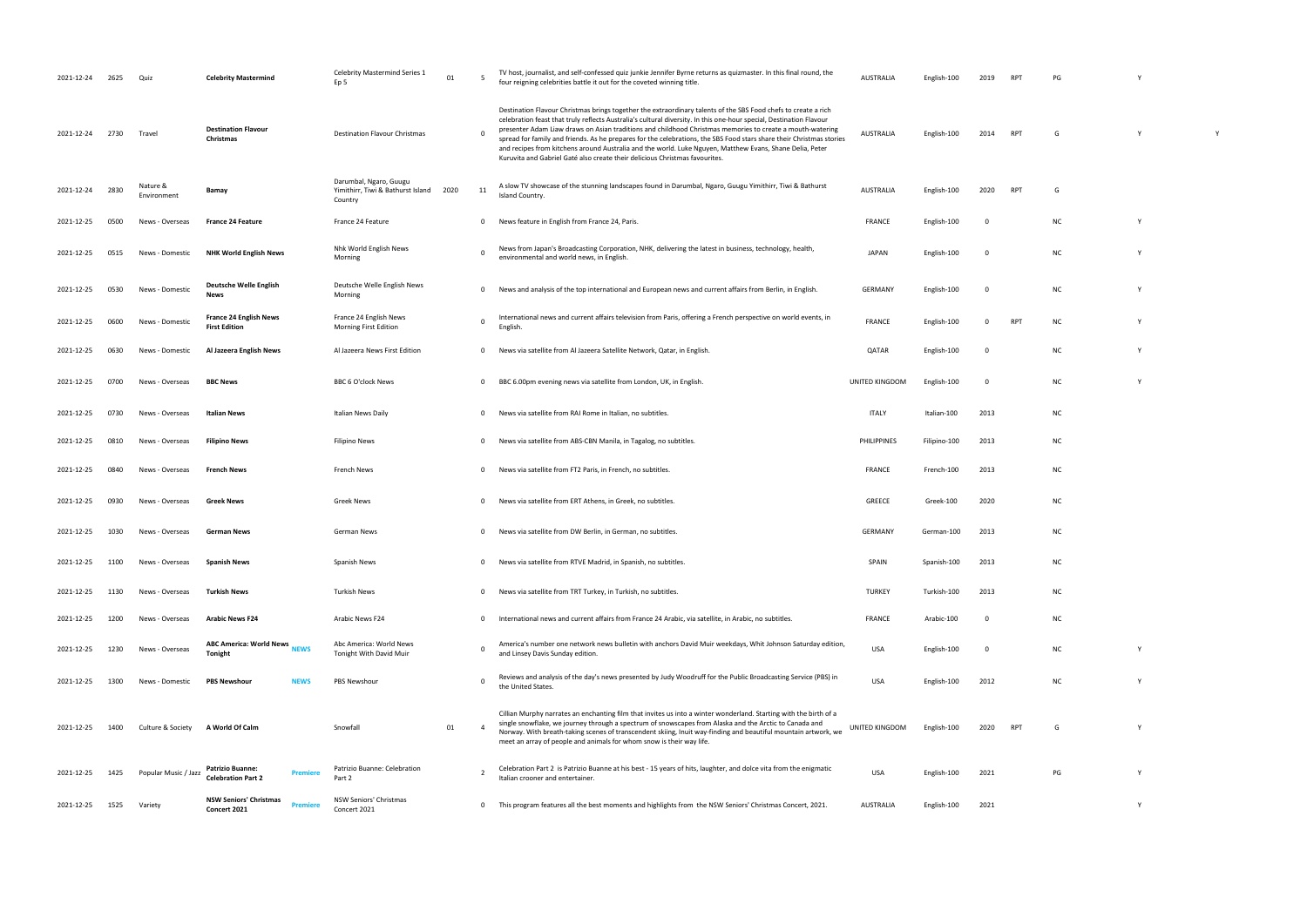| 2021-12-24 | 2625 | Quiz                    | <b>Celebrity Mastermind</b>                                     | <b>Celebrity Mastermind Series 1</b><br>Ep 5                           | 01   |                | TV host, journalist, and self-confessed quiz junkie Jennifer Byrne returns as quizmaster. In this final round, the<br>four reigning celebrities battle it out for the coveted winning title.                                                                                                                                                                                                                                                                                                                                                                                                                                                                          | <b>AUSTRALIA</b> | English-100  | 2019     | RP <sub>1</sub> | PG        |   |          |
|------------|------|-------------------------|-----------------------------------------------------------------|------------------------------------------------------------------------|------|----------------|-----------------------------------------------------------------------------------------------------------------------------------------------------------------------------------------------------------------------------------------------------------------------------------------------------------------------------------------------------------------------------------------------------------------------------------------------------------------------------------------------------------------------------------------------------------------------------------------------------------------------------------------------------------------------|------------------|--------------|----------|-----------------|-----------|---|----------|
| 2021-12-24 | 2730 | Travel                  | <b>Destination Flavour</b><br>Christmas                         | <b>Destination Flavour Christmas</b>                                   |      | $\Omega$       | Destination Flavour Christmas brings together the extraordinary talents of the SBS Food chefs to create a rich<br>celebration feast that truly reflects Australia's cultural diversity. In this one-hour special, Destination Flavour<br>presenter Adam Liaw draws on Asian traditions and childhood Christmas memories to create a mouth-watering<br>spread for family and friends. As he prepares for the celebrations, the SBS Food stars share their Christmas stories<br>and recipes from kitchens around Australia and the world. Luke Nguyen, Matthew Evans, Shane Delia, Peter<br>Kuruvita and Gabriel Gaté also create their delicious Christmas favourites. | <b>AUSTRALIA</b> | English-100  | 2014     | <b>RPT</b>      | G         |   | <b>V</b> |
| 2021-12-24 | 2830 | Nature &<br>Environment | Bamay                                                           | Darumbal, Ngaro, Guugu<br>Yimithirr, Tiwi & Bathurst Island<br>Country | 2020 | 11             | A slow TV showcase of the stunning landscapes found in Darumbal, Ngaro, Guugu Yimithirr, Tiwi & Bathurst<br>Island Country.                                                                                                                                                                                                                                                                                                                                                                                                                                                                                                                                           | <b>AUSTRALIA</b> | English-100  | 2020     | <b>RPT</b>      | G         |   |          |
| 2021-12-25 | 0500 | News - Overseas         | <b>France 24 Feature</b>                                        | France 24 Feature                                                      |      | $^{\circ}$     | News feature in English from France 24, Paris.                                                                                                                                                                                                                                                                                                                                                                                                                                                                                                                                                                                                                        | FRANCE           | English-100  | 0        |                 | <b>NC</b> |   |          |
| 2021-12-25 | 0515 | News - Domestic         | <b>NHK World English News</b>                                   | Nhk World English News<br>Morning                                      |      | $\Omega$       | News from Japan's Broadcasting Corporation, NHK, delivering the latest in business, technology, health,<br>environmental and world news, in English.                                                                                                                                                                                                                                                                                                                                                                                                                                                                                                                  | <b>JAPAN</b>     | English-100  | 0        |                 | <b>NC</b> |   |          |
| 2021-12-25 | 0530 | News - Domestic         | Deutsche Welle English<br>News                                  | Deutsche Welle English News<br>Morning                                 |      | $^{\circ}$     | News and analysis of the top international and European news and current affairs from Berlin, in English.                                                                                                                                                                                                                                                                                                                                                                                                                                                                                                                                                             | <b>GERMANY</b>   | English-100  | 0        |                 | <b>NC</b> |   |          |
| 2021-12-25 | 0600 | News - Domestic         | <b>France 24 English News</b><br><b>First Edition</b>           | France 24 English News<br>Morning First Edition                        |      | $\mathbf 0$    | International news and current affairs television from Paris, offering a French perspective on world events, in<br>English.                                                                                                                                                                                                                                                                                                                                                                                                                                                                                                                                           | <b>FRANCE</b>    | English-100  | $\Omega$ | <b>RPT</b>      | <b>NC</b> |   |          |
| 2021-12-25 | 0630 | News - Domestic         | Al Jazeera English News                                         | Al Jazeera News First Edition                                          |      | $\mathbf 0$    | News via satellite from Al Jazeera Satellite Network, Qatar, in English.                                                                                                                                                                                                                                                                                                                                                                                                                                                                                                                                                                                              | QATAR            | English-100  | 0        |                 | <b>NC</b> |   |          |
| 2021-12-25 | 0700 | News - Overseas         | <b>BBC News</b>                                                 | <b>BBC 6 O'clock News</b>                                              |      | $^{\circ}$     | BBC 6.00pm evening news via satellite from London, UK, in English.                                                                                                                                                                                                                                                                                                                                                                                                                                                                                                                                                                                                    | UNITED KINGDOM   | English-100  | 0        |                 | <b>NC</b> |   |          |
| 2021-12-25 | 0730 | News - Overseas         | <b>Italian News</b>                                             | Italian News Daily                                                     |      | $\mathbf 0$    | News via satellite from RAI Rome in Italian, no subtitles.                                                                                                                                                                                                                                                                                                                                                                                                                                                                                                                                                                                                            | <b>ITALY</b>     | Italian-100  | 2013     |                 | <b>NC</b> |   |          |
| 2021-12-25 | 0810 | News - Overseas         | <b>Filipino News</b>                                            | <b>Filipino News</b>                                                   |      | $^{\circ}$     | News via satellite from ABS-CBN Manila, in Tagalog, no subtitles.                                                                                                                                                                                                                                                                                                                                                                                                                                                                                                                                                                                                     | PHILIPPINES      | Filipino-100 | 2013     |                 | <b>NC</b> |   |          |
| 2021-12-25 | 0840 | News - Overseas         | <b>French News</b>                                              | French News                                                            |      | $\Omega$       | News via satellite from FT2 Paris, in French, no subtitles.                                                                                                                                                                                                                                                                                                                                                                                                                                                                                                                                                                                                           | FRANCE           | French-100   | 2013     |                 | <b>NC</b> |   |          |
| 2021-12-25 | 0930 | News - Overseas         | <b>Greek News</b>                                               | <b>Greek News</b>                                                      |      | $^{\circ}$     | News via satellite from ERT Athens, in Greek, no subtitles.                                                                                                                                                                                                                                                                                                                                                                                                                                                                                                                                                                                                           | GREECE           | Greek-100    | 2020     |                 | NC        |   |          |
| 2021-12-25 | 1030 | News - Overseas         | German News                                                     | German News                                                            |      | $^{\circ}$     | News via satellite from DW Berlin, in German, no subtitles.                                                                                                                                                                                                                                                                                                                                                                                                                                                                                                                                                                                                           | <b>GERMANY</b>   | German-100   | 2013     |                 | <b>NC</b> |   |          |
| 2021-12-25 | 1100 | News - Overseas         | <b>Spanish News</b>                                             | Spanish News                                                           |      | $\mathbf 0$    | News via satellite from RTVE Madrid, in Spanish, no subtitles.                                                                                                                                                                                                                                                                                                                                                                                                                                                                                                                                                                                                        | SPAIN            | Spanish-100  | 2013     |                 | <b>NC</b> |   |          |
| 2021-12-25 | 1130 | News - Overseas         | Turkish News                                                    | <b>Turkish News</b>                                                    |      | $^{\circ}$     | News via satellite from TRT Turkey, in Turkish, no subtitles.                                                                                                                                                                                                                                                                                                                                                                                                                                                                                                                                                                                                         | <b>TURKEY</b>    | Turkish-100  | 2013     |                 | <b>NC</b> |   |          |
| 2021-12-25 | 1200 | News - Overseas         | <b>Arabic News F24</b>                                          | Arabic News F24                                                        |      | $^{\circ}$     | International news and current affairs from France 24 Arabic, via satellite, in Arabic, no subtitles.                                                                                                                                                                                                                                                                                                                                                                                                                                                                                                                                                                 | FRANCE           | Arabic-100   | 0        |                 | <b>NC</b> |   |          |
| 2021-12-25 | 1230 | News - Overseas         | <b>ABC America: World News</b><br><b>NEWS</b><br>Tonight        | Abc America: World News<br>Tonight With David Muir                     |      | $\Omega$       | America's number one network news bulletin with anchors David Muir weekdays, Whit Johnson Saturday edition,<br>and Linsey Davis Sunday edition.                                                                                                                                                                                                                                                                                                                                                                                                                                                                                                                       | USA              | English-100  | 0        |                 | <b>NC</b> |   |          |
| 2021-12-25 | 1300 | News - Domestic         | <b>PBS Newshour</b><br><b>NEWS</b>                              | PBS Newshour                                                           |      | $\Omega$       | Reviews and analysis of the day's news presented by Judy Woodruff for the Public Broadcasting Service (PBS) in<br>the United States.                                                                                                                                                                                                                                                                                                                                                                                                                                                                                                                                  | USA              | English-100  | 2012     |                 | <b>NC</b> |   |          |
| 2021-12-25 | 1400 | Culture & Society       | A World Of Calm                                                 | Snowfall                                                               | 01   | $\overline{4}$ | Cillian Murphy narrates an enchanting film that invites us into a winter wonderland. Starting with the birth of a<br>single snowflake, we journey through a spectrum of snowscapes from Alaska and the Arctic to Canada and<br>Norway. With breath-taking scenes of transcendent skiing, Inuit way-finding and beautiful mountain artwork, we<br>meet an array of people and animals for whom snow is their way life.                                                                                                                                                                                                                                                 | UNITED KINGDOM   | English-100  | 2020     | <b>RPT</b>      | G         |   |          |
| 2021-12-25 | 1425 | Popular Music / Jazz    | <b>Patrizio Buanne:</b><br>Premier<br><b>Celebration Part 2</b> | Patrizio Buanne: Celebration<br>Part 2                                 |      |                | Celebration Part 2 is Patrizio Buanne at his best - 15 years of hits, laughter, and dolce vita from the enigmatic<br>Italian crooner and entertainer.                                                                                                                                                                                                                                                                                                                                                                                                                                                                                                                 | <b>USA</b>       | English-100  | 2021     |                 | PG        |   |          |
| 2021-12-25 | 1525 | Variety                 | <b>NSW Seniors' Christmas</b><br><b>Premier</b><br>Concert 2021 | NSW Seniors' Christmas<br>Concert 2021                                 |      | $\mathbf{0}$   | This program features all the best moments and highlights from the NSW Seniors' Christmas Concert, 2021.                                                                                                                                                                                                                                                                                                                                                                                                                                                                                                                                                              | <b>AUSTRALIA</b> | English-100  | 2021     |                 |           | Y |          |